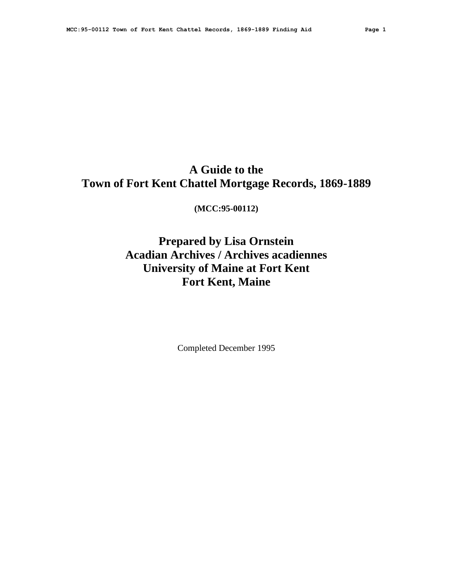# **A Guide to the Town of Fort Kent Chattel Mortgage Records, 1869-1889**

**(MCC:95-00112)**

# **Prepared by Lisa Ornstein Acadian Archives / Archives acadiennes University of Maine at Fort Kent Fort Kent, Maine**

Completed December 1995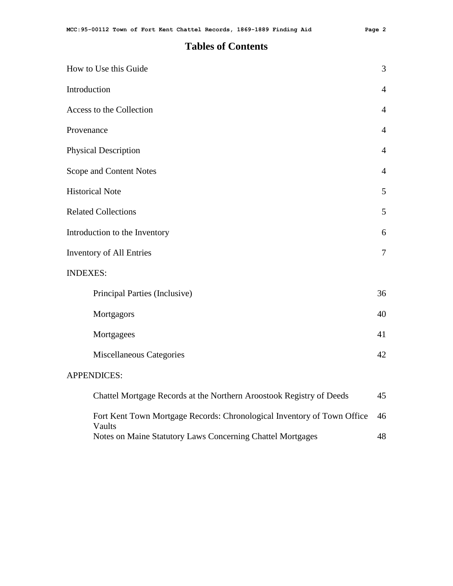# **Tables of Contents**

| How to Use this Guide                                                             | 3              |
|-----------------------------------------------------------------------------------|----------------|
| Introduction                                                                      | $\overline{4}$ |
| Access to the Collection                                                          | $\overline{4}$ |
| Provenance                                                                        | $\overline{4}$ |
| <b>Physical Description</b>                                                       | $\overline{4}$ |
| Scope and Content Notes                                                           | $\overline{4}$ |
| <b>Historical Note</b>                                                            | 5              |
| <b>Related Collections</b>                                                        | 5              |
| Introduction to the Inventory                                                     | 6              |
| <b>Inventory of All Entries</b>                                                   | 7              |
| <b>INDEXES:</b>                                                                   |                |
| Principal Parties (Inclusive)                                                     | 36             |
| Mortgagors                                                                        | 40             |
| Mortgagees                                                                        | 41             |
| <b>Miscellaneous Categories</b>                                                   | 42             |
| <b>APPENDICES:</b>                                                                |                |
| Chattel Mortgage Records at the Northern Aroostook Registry of Deeds              | 45             |
| Fort Kent Town Mortgage Records: Chronological Inventory of Town Office<br>Vaults | 46             |
| Notes on Maine Statutory Laws Concerning Chattel Mortgages                        | 48             |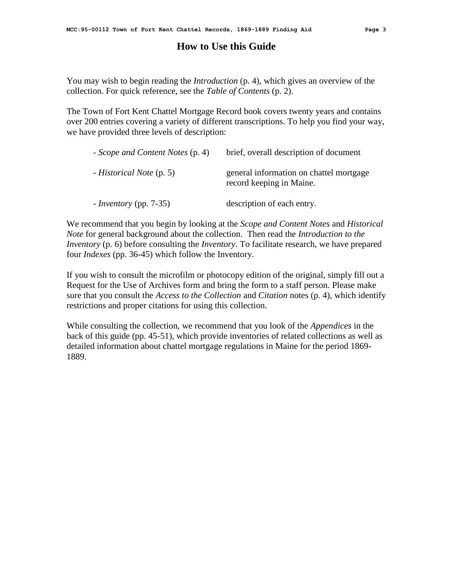# **How to Use this Guide**

You may wish to begin reading the *Introduction* (p. 4), which gives an overview of the collection. For quick reference, see the *Table of Contents* (p. 2).

The Town of Fort Kent Chattel Mortgage Record book covers twenty years and contains over 200 entries covering a variety of different transcriptions. To help you find your way, we have provided three levels of description:

| - Scope and Content Notes (p. 4) | brief, overall description of document                              |
|----------------------------------|---------------------------------------------------------------------|
| - Historical Note (p. 5)         | general information on chattel mortgage<br>record keeping in Maine. |
| $-$ <i>Inventory</i> (pp. 7-35)  | description of each entry.                                          |

We recommend that you begin by looking at the *Scope and Content Notes* and *Historical Note* for general background about the collection. Then read the *Introduction to the Inventory* (p. 6) before consulting the *Inventory*. To facilitate research, we have prepared four *Indexes* (pp. 36-45) which follow the Inventory.

If you wish to consult the microfilm or photocopy edition of the original, simply fill out a Request for the Use of Archives form and bring the form to a staff person. Please make sure that you consult the *Access to the Collection* and *Citation* notes (p. 4), which identify restrictions and proper citations for using this collection.

While consulting the collection, we recommend that you look of the *Appendices* in the back of this guide (pp. 45-51), which provide inventories of related collections as well as detailed information about chattel mortgage regulations in Maine for the period 1869- 1889.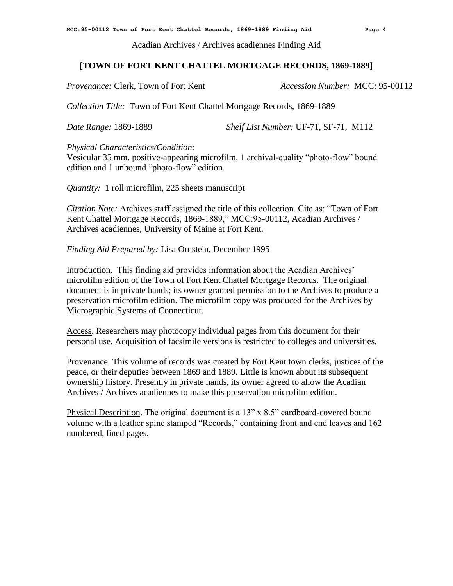Acadian Archives / Archives acadiennes Finding Aid

# [**TOWN OF FORT KENT CHATTEL MORTGAGE RECORDS, 1869-1889]**

*Provenance:* Clerk, Town of Fort Kent *Accession Number:* MCC: 95-00112

*Collection Title:* Town of Fort Kent Chattel Mortgage Records, 1869-1889

*Date Range:* 1869-1889 *Shelf List Number:* UF-71, SF-71, M112

*Physical Characteristics/Condition:*

Vesicular 35 mm. positive-appearing microfilm, 1 archival-quality "photo-flow" bound edition and 1 unbound "photo-flow" edition.

*Quantity:* 1 roll microfilm, 225 sheets manuscript

*Citation Note:* Archives staff assigned the title of this collection. Cite as: "Town of Fort Kent Chattel Mortgage Records, 1869-1889," MCC:95-00112, Acadian Archives / Archives acadiennes, University of Maine at Fort Kent.

*Finding Aid Prepared by:* Lisa Ornstein, December 1995

Introduction. This finding aid provides information about the Acadian Archives' microfilm edition of the Town of Fort Kent Chattel Mortgage Records. The original document is in private hands; its owner granted permission to the Archives to produce a preservation microfilm edition. The microfilm copy was produced for the Archives by Micrographic Systems of Connecticut.

Access. Researchers may photocopy individual pages from this document for their personal use. Acquisition of facsimile versions is restricted to colleges and universities.

Provenance. This volume of records was created by Fort Kent town clerks, justices of the peace, or their deputies between 1869 and 1889. Little is known about its subsequent ownership history. Presently in private hands, its owner agreed to allow the Acadian Archives / Archives acadiennes to make this preservation microfilm edition.

Physical Description. The original document is a 13" x 8.5" cardboard-covered bound volume with a leather spine stamped "Records," containing front and end leaves and 162 numbered, lined pages.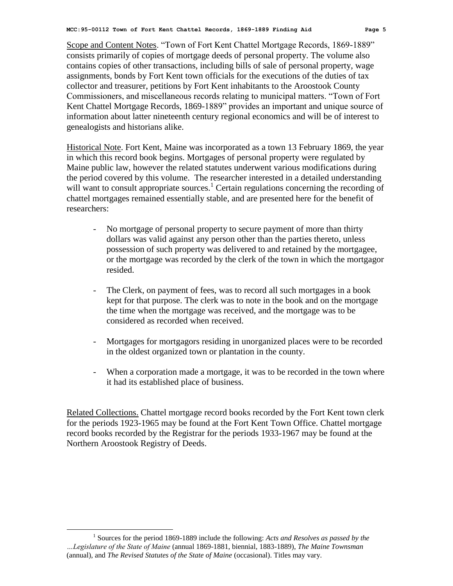Scope and Content Notes. "Town of Fort Kent Chattel Mortgage Records, 1869-1889" consists primarily of copies of mortgage deeds of personal property. The volume also contains copies of other transactions, including bills of sale of personal property, wage assignments, bonds by Fort Kent town officials for the executions of the duties of tax collector and treasurer, petitions by Fort Kent inhabitants to the Aroostook County Commissioners, and miscellaneous records relating to municipal matters. "Town of Fort Kent Chattel Mortgage Records, 1869-1889" provides an important and unique source of information about latter nineteenth century regional economics and will be of interest to genealogists and historians alike.

Historical Note. Fort Kent, Maine was incorporated as a town 13 February 1869, the year in which this record book begins. Mortgages of personal property were regulated by Maine public law, however the related statutes underwent various modifications during the period covered by this volume. The researcher interested in a detailed understanding will want to consult appropriate sources.<sup>1</sup> Certain regulations concerning the recording of chattel mortgages remained essentially stable, and are presented here for the benefit of researchers:

- No mortgage of personal property to secure payment of more than thirty dollars was valid against any person other than the parties thereto, unless possession of such property was delivered to and retained by the mortgagee, or the mortgage was recorded by the clerk of the town in which the mortgagor resided.
- The Clerk, on payment of fees, was to record all such mortgages in a book kept for that purpose. The clerk was to note in the book and on the mortgage the time when the mortgage was received, and the mortgage was to be considered as recorded when received.
- Mortgages for mortgagors residing in unorganized places were to be recorded in the oldest organized town or plantation in the county.
- When a corporation made a mortgage, it was to be recorded in the town where it had its established place of business.

Related Collections. Chattel mortgage record books recorded by the Fort Kent town clerk for the periods 1923-1965 may be found at the Fort Kent Town Office. Chattel mortgage record books recorded by the Registrar for the periods 1933-1967 may be found at the Northern Aroostook Registry of Deeds.

 $\overline{a}$ 

<sup>&</sup>lt;sup>1</sup> Sources for the period 1869-1889 include the following: *Acts and Resolves as passed by the …Legislature of the State of Maine* (annual 1869-1881, biennial, 1883-1889), *The Maine Townsman* (annual), and *The Revised Statutes of the State of Maine* (occasional). Titles may vary.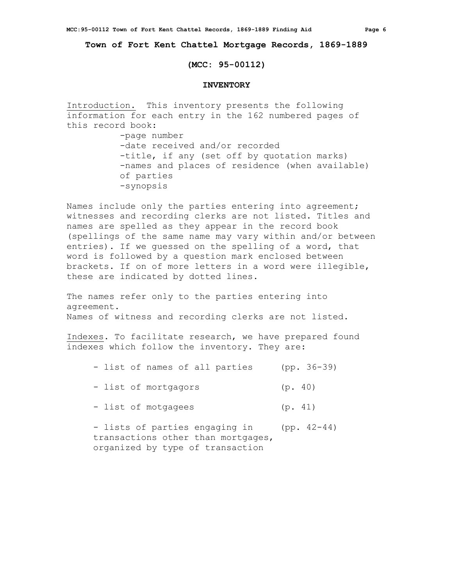**Town of Fort Kent Chattel Mortgage Records, 1869-1889**

## **(MCC: 95-00112)**

## **INVENTORY**

Introduction. This inventory presents the following information for each entry in the 162 numbered pages of this record book:

> -page number -date received and/or recorded -title, if any (set off by quotation marks) -names and places of residence (when available) of parties -synopsis

Names include only the parties entering into agreement; witnesses and recording clerks are not listed. Titles and names are spelled as they appear in the record book (spellings of the same name may vary within and/or between entries). If we guessed on the spelling of a word, that word is followed by a question mark enclosed between brackets. If on of more letters in a word were illegible, these are indicated by dotted lines.

The names refer only to the parties entering into agreement. Names of witness and recording clerks are not listed.

Indexes. To facilitate research, we have prepared found indexes which follow the inventory. They are:

|  |  |  | - list of names of all parties |  | $(pp. 36-39)$ |
|--|--|--|--------------------------------|--|---------------|
|--|--|--|--------------------------------|--|---------------|

- list of mortgagors (p. 40)

- list of motgagees (p. 41)

- lists of parties engaging in (pp. 42-44) transactions other than mortgages, organized by type of transaction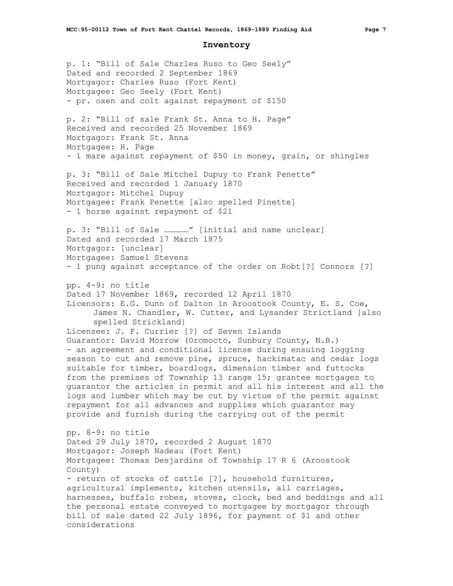#### **Inventory**

p. 1: "Bill of Sale Charles Ruso to Geo Seely" Dated and recorded 2 September 1869 Mortgagor: Charles Ruso (Fort Kent) Mortgagee: Geo Seely (Fort Kent) - pr. oxen and colt against repayment of \$150 p. 2: "Bill of sale Frank St. Anna to H. Page" Received and recorded 25 November 1869 Mortgagor: Frank St. Anna Mortgagee: H. Page - 1 mare against repayment of \$50 in money, grain, or shingles p. 3: "Bill of Sale Mitchel Dupuy to Frank Penette" Received and recorded 1 January 1870 Mortgagor: Mitchel Dupuy Mortgagee: Frank Penette [also spelled Pinette] - 1 horse against repayment of \$21 p. 3: "Bill of Sale ……………" [initial and name unclear] Dated and recorded 17 March 1875 Mortgagor: [unclear] Mortgagee: Samuel Stevens - 1 pung against acceptance of the order on Robt[?] Connors [?] pp. 4-9: no title Dated 17 November 1869, recorded 12 April 1870 Licensors: E.G. Dunn of Dalton in Aroostook County, E. S. Coe, James N. Chandler, W. Cutter, and Lysander Strictland [also spelled Strickland} Licensee: J. F. Currier [?] of Seven Islands Guarantor: David Morrow (Oromocto, Sunbury County, N.B.) - an agreement and conditional license during ensuing logging season to cut and remove pine, spruce, hackimatac and cedar logs suitable for timber, boardlogs, dimension timber and futtocks from the premises of Township 13 range 15; grantee mortgages to guarantor the articles in permit and all his interest and all the logs and lumber which may be cut by virtue of the permit against repayment for all advances and supplies which guarantor may provide and furnish during the carrying out of the permit pp. 8-9: no title Dated 29 July 1870, recorded 2 August 1870 Mortgagor: Joseph Nadeau (Fort Kent) Mortgagee: Thomas Desjardins of Township 17 R 6 (Aroostook County) - return of stocks of cattle [?], household furnitures, agricultural implements, kitchen utensils, all carriages, harnesses, buffalo robes, stoves, clock, bed and beddings and all the personal estate conveyed to mortgagee by mortgagor through bill of sale dated 22 July 1896, for payment of \$1 and other considerations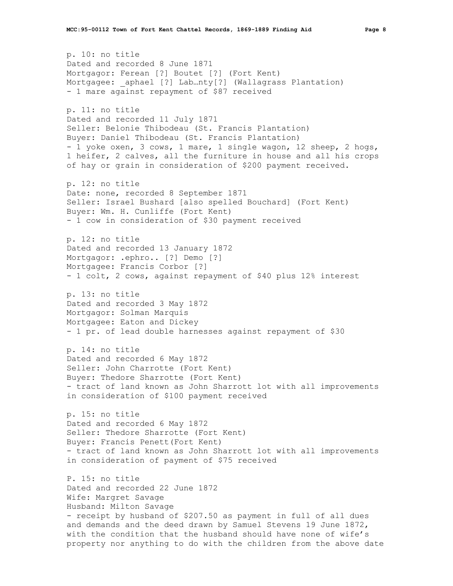```
p. 10: no title
Dated and recorded 8 June 1871
Mortgagor: Ferean [?] Boutet [?] (Fort Kent)
Mortgagee: aphael [?] Lab...nty[?] (Wallagrass Plantation)
- 1 mare against repayment of $87 received
p. 11: no title
Dated and recorded 11 July 1871
Seller: Belonie Thibodeau (St. Francis Plantation)
Buyer: Daniel Thibodeau (St. Francis Plantation)
- 1 yoke oxen, 3 cows, 1 mare, 1 single wagon, 12 sheep, 2 hogs, 
1 heifer, 2 calves, all the furniture in house and all his crops 
of hay or grain in consideration of $200 payment received.
p. 12: no title
Date: none, recorded 8 September 1871
Seller: Israel Bushard [also spelled Bouchard] (Fort Kent)
Buyer: Wm. H. Cunliffe (Fort Kent)
- 1 cow in consideration of $30 payment received
p. 12: no title
Dated and recorded 13 January 1872
Mortgagor: .ephro.. [?] Demo [?]
Mortgagee: Francis Corbor [?]
- 1 colt, 2 cows, against repayment of $40 plus 12% interest
p. 13: no title
Dated and recorded 3 May 1872
Mortgagor: Solman Marquis
Mortgagee: Eaton and Dickey
- 1 pr. of lead double harnesses against repayment of $30
p. 14: no title
Dated and recorded 6 May 1872
Seller: John Charrotte (Fort Kent)
Buyer: Thedore Sharrotte (Fort Kent)
- tract of land known as John Sharrott lot with all improvements 
in consideration of $100 payment received
p. 15: no title
Dated and recorded 6 May 1872
Seller: Thedore Sharrotte (Fort Kent)
Buyer: Francis Penett(Fort Kent)
- tract of land known as John Sharrott lot with all improvements 
in consideration of payment of $75 received
P. 15: no title
Dated and recorded 22 June 1872
Wife: Margret Savage
Husband: Milton Savage
- receipt by husband of $207.50 as payment in full of all dues 
and demands and the deed drawn by Samuel Stevens 19 June 1872, 
with the condition that the husband should have none of wife's 
property nor anything to do with the children from the above date
```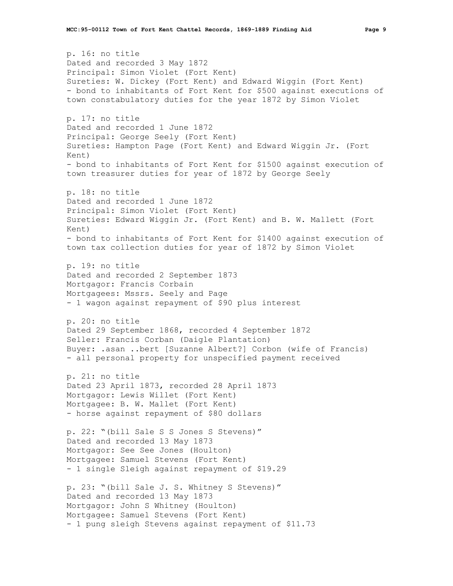p. 16: no title Dated and recorded 3 May 1872 Principal: Simon Violet (Fort Kent) Sureties: W. Dickey (Fort Kent) and Edward Wiggin (Fort Kent) - bond to inhabitants of Fort Kent for \$500 against executions of town constabulatory duties for the year 1872 by Simon Violet p. 17: no title Dated and recorded 1 June 1872 Principal: George Seely (Fort Kent) Sureties: Hampton Page (Fort Kent) and Edward Wiggin Jr. (Fort Kent) - bond to inhabitants of Fort Kent for \$1500 against execution of town treasurer duties for year of 1872 by George Seely p. 18: no title Dated and recorded 1 June 1872 Principal: Simon Violet (Fort Kent) Sureties: Edward Wiggin Jr. (Fort Kent) and B. W. Mallett (Fort Kent) - bond to inhabitants of Fort Kent for \$1400 against execution of town tax collection duties for year of 1872 by Simon Violet p. 19: no title Dated and recorded 2 September 1873 Mortgagor: Francis Corbain Mortgagees: Mssrs. Seely and Page - 1 wagon against repayment of \$90 plus interest p. 20: no title Dated 29 September 1868, recorded 4 September 1872 Seller: Francis Corban (Daigle Plantation) Buyer: .asan ..bert [Suzanne Albert?] Corbon (wife of Francis) - all personal property for unspecified payment received p. 21: no title Dated 23 April 1873, recorded 28 April 1873 Mortgagor: Lewis Willet (Fort Kent) Mortgagee: B. W. Mallet (Fort Kent) - horse against repayment of \$80 dollars p. 22: "(bill Sale S S Jones S Stevens)" Dated and recorded 13 May 1873 Mortgagor: See See Jones (Houlton) Mortgagee: Samuel Stevens (Fort Kent) - 1 single Sleigh against repayment of \$19.29 p. 23: "(bill Sale J. S. Whitney S Stevens)" Dated and recorded 13 May 1873 Mortgagor: John S Whitney (Houlton) Mortgagee: Samuel Stevens (Fort Kent) - 1 pung sleigh Stevens against repayment of \$11.73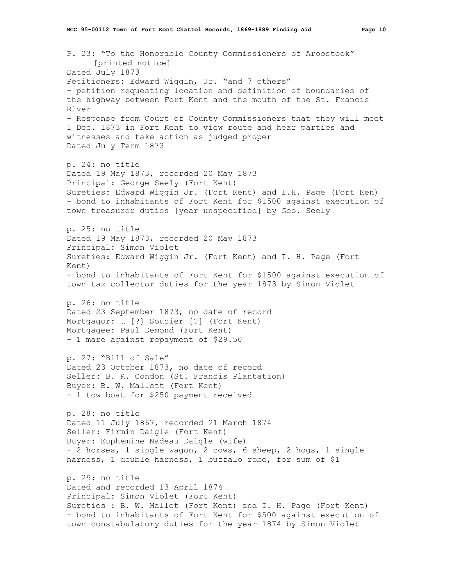P. 23: "To the Honorable County Commissioners of Aroostook" [printed notice] Dated July 1873 Petitioners: Edward Wiggin, Jr. "and 7 others" - petition requesting location and definition of boundaries of the highway between Fort Kent and the mouth of the St. Francis River - Response from Court of County Commissioners that they will meet 1 Dec. 1873 in Fort Kent to view route and hear parties and witnesses and take action as judged proper Dated July Term 1873 p. 24: no title Dated 19 May 1873, recorded 20 May 1873 Principal: George Seely (Fort Kent) Sureties: Edward Wiggin Jr. (Fort Kent) and I.H. Page (Fort Ken) - bond to inhabitants of Fort Kent for \$1500 against execution of town treasurer duties [year unspecified] by Geo. Seely p. 25: no title Dated 19 May 1873, recorded 20 May 1873 Principal: Simon Violet Sureties: Edward Wiggin Jr. (Fort Kent) and I. H. Page (Fort Kent) - bond to inhabitants of Fort Kent for \$1500 against execution of town tax collector duties for the year 1873 by Simon Violet p. 26: no title Dated 23 September 1873, no date of record Mortgagor: … [?] Soucier [?] (Fort Kent) Mortgagee: Paul Demond (Fort Kent) - 1 mare against repayment of \$29.50 p. 27: "Bill of Sale" Dated 23 October 1873, no date of record Seller: B. R. Condon (St. Francis Plantation) Buyer: B. W. Mallett (Fort Kent) - 1 tow boat for \$250 payment received p. 28: no title Dated 11 July 1867, recorded 21 March 1874 Seller: Firmin Daigle (Fort Kent)

Buyer: Euphemine Nadeau Daigle (wife) - 2 horses, 1 single wagon, 2 cows, 6 sheep, 2 hogs, 1 single harness, 1 double harness, 1 buffalo robe, for sum of \$1

p. 29: no title Dated and recorded 13 April 1874 Principal: Simon Violet (Fort Kent) Sureties : B. W. Mallet (Fort Kent) and I. H. Page (Fort Kent) - bond to inhabitants of Fort Kent for \$500 against execution of town constabulatory duties for the year 1874 by Simon Violet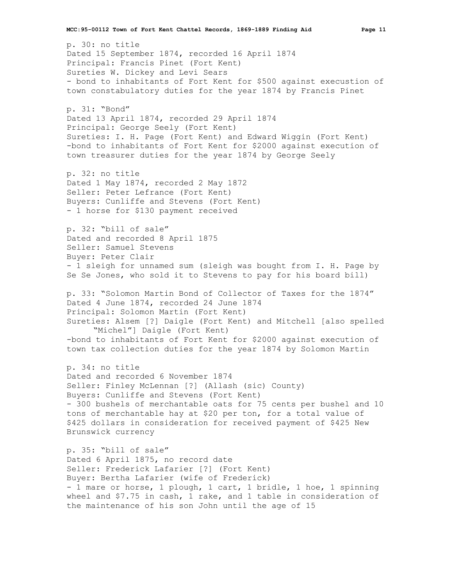p. 30: no title Dated 15 September 1874, recorded 16 April 1874 Principal: Francis Pinet (Fort Kent) Sureties W. Dickey and Levi Sears - bond to inhabitants of Fort Kent for \$500 against execustion of town constabulatory duties for the year 1874 by Francis Pinet

p. 31: "Bond" Dated 13 April 1874, recorded 29 April 1874 Principal: George Seely (Fort Kent) Sureties: I. H. Page (Fort Kent) and Edward Wiggin (Fort Kent) -bond to inhabitants of Fort Kent for \$2000 against execution of town treasurer duties for the year 1874 by George Seely

p. 32: no title Dated 1 May 1874, recorded 2 May 1872 Seller: Peter Lefrance (Fort Kent) Buyers: Cunliffe and Stevens (Fort Kent) - 1 horse for \$130 payment received

p. 32: "bill of sale" Dated and recorded 8 April 1875 Seller: Samuel Stevens Buyer: Peter Clair - 1 sleigh for unnamed sum (sleigh was bought from I. H. Page by Se Se Jones, who sold it to Stevens to pay for his board bill)

p. 33: "Solomon Martin Bond of Collector of Taxes for the 1874" Dated 4 June 1874, recorded 24 June 1874 Principal: Solomon Martin (Fort Kent) Sureties: Alsem [?] Daigle (Fort Kent) and Mitchell [also spelled "Michel"] Daigle (Fort Kent)

-bond to inhabitants of Fort Kent for \$2000 against execution of town tax collection duties for the year 1874 by Solomon Martin

p. 34: no title Dated and recorded 6 November 1874 Seller: Finley McLennan [?] (Allash (sic) County) Buyers: Cunliffe and Stevens (Fort Kent) - 300 bushels of merchantable oats for 75 cents per bushel and 10 tons of merchantable hay at \$20 per ton, for a total value of \$425 dollars in consideration for received payment of \$425 New Brunswick currency

p. 35: "bill of sale" Dated 6 April 1875, no record date Seller: Frederick Lafarier [?] (Fort Kent) Buyer: Bertha Lafarier (wife of Frederick) - 1 mare or horse, 1 plough, 1 cart, 1 bridle, 1 hoe, 1 spinning wheel and \$7.75 in cash, 1 rake, and 1 table in consideration of the maintenance of his son John until the age of 15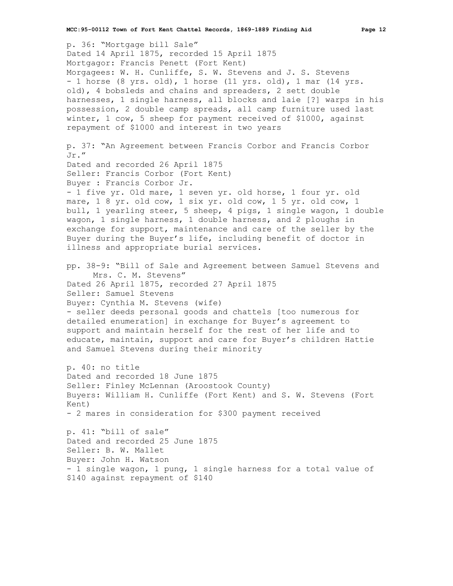p. 36: "Mortgage bill Sale" Dated 14 April 1875, recorded 15 April 1875 Mortgagor: Francis Penett (Fort Kent) Morgagees: W. H. Cunliffe, S. W. Stevens and J. S. Stevens - 1 horse (8 yrs. old), 1 horse (11 yrs. old), 1 mar (14 yrs. old), 4 bobsleds and chains and spreaders, 2 sett double harnesses, 1 single harness, all blocks and laie [?] warps in his possession, 2 double camp spreads, all camp furniture used last winter, 1 cow, 5 sheep for payment received of \$1000, against repayment of \$1000 and interest in two years p. 37: "An Agreement between Francis Corbor and Francis Corbor Jr." Dated and recorded 26 April 1875 Seller: Francis Corbor (Fort Kent) Buyer : Francis Corbor Jr. - 1 five yr. Old mare, 1 seven yr. old horse, 1 four yr. old mare, 1 8 yr. old cow, 1 six yr. old cow, 1 5 yr. old cow, 1 bull, 1 yearling steer, 5 sheep, 4 pigs, 1 single wagon, 1 double wagon, 1 single harness, 1 double harness, and 2 ploughs in exchange for support, maintenance and care of the seller by the Buyer during the Buyer's life, including benefit of doctor in illness and appropriate burial services. pp. 38-9: "Bill of Sale and Agreement between Samuel Stevens and Mrs. C. M. Stevens" Dated 26 April 1875, recorded 27 April 1875 Seller: Samuel Stevens Buyer: Cynthia M. Stevens (wife) - seller deeds personal goods and chattels [too numerous for detailed enumeration] in exchange for Buyer's agreement to support and maintain herself for the rest of her life and to educate, maintain, support and care for Buyer's children Hattie and Samuel Stevens during their minority p. 40: no title Dated and recorded 18 June 1875 Seller: Finley McLennan (Aroostook County) Buyers: William H. Cunliffe (Fort Kent) and S. W. Stevens (Fort Kent) - 2 mares in consideration for \$300 payment received p. 41: "bill of sale" Dated and recorded 25 June 1875 Seller: B. W. Mallet Buyer: John H. Watson - 1 single wagon, 1 pung, 1 single harness for a total value of \$140 against repayment of \$140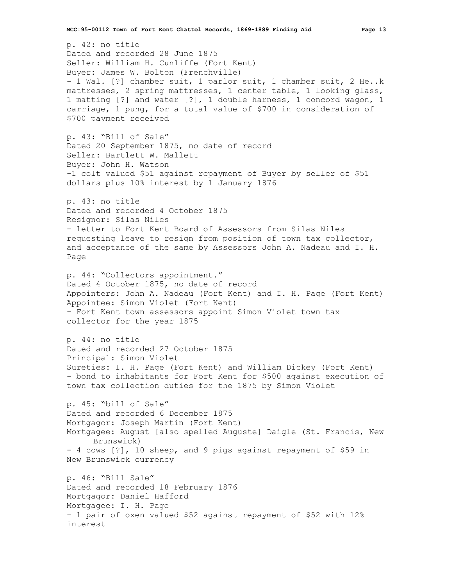p. 42: no title Dated and recorded 28 June 1875 Seller: William H. Cunliffe (Fort Kent) Buyer: James W. Bolton (Frenchville) - 1 Wal. [?] chamber suit, 1 parlor suit, 1 chamber suit, 2 He..k mattresses, 2 spring mattresses, 1 center table, 1 looking glass, 1 matting [?] and water [?], 1 double harness, 1 concord wagon, 1 carriage, 1 pung, for a total value of \$700 in consideration of \$700 payment received p. 43: "Bill of Sale" Dated 20 September 1875, no date of record Seller: Bartlett W. Mallett Buyer: John H. Watson -1 colt valued \$51 against repayment of Buyer by seller of \$51 dollars plus 10% interest by 1 January 1876 p. 43: no title Dated and recorded 4 October 1875 Resignor: Silas Niles - letter to Fort Kent Board of Assessors from Silas Niles requesting leave to resign from position of town tax collector, and acceptance of the same by Assessors John A. Nadeau and I. H. Page p. 44: "Collectors appointment." Dated 4 October 1875, no date of record Appointers: John A. Nadeau (Fort Kent) and I. H. Page (Fort Kent) Appointee: Simon Violet (Fort Kent) - Fort Kent town assessors appoint Simon Violet town tax collector for the year 1875 p. 44: no title Dated and recorded 27 October 1875 Principal: Simon Violet Sureties: I. H. Page (Fort Kent) and William Dickey (Fort Kent) - bond to inhabitants for Fort Kent for \$500 against execution of town tax collection duties for the 1875 by Simon Violet p. 45: "bill of Sale" Dated and recorded 6 December 1875 Mortgagor: Joseph Martin (Fort Kent) Mortgagee: August [also spelled Auguste] Daigle (St. Francis, New Brunswick) - 4 cows [?], 10 sheep, and 9 pigs against repayment of \$59 in New Brunswick currency p. 46: "Bill Sale" Dated and recorded 18 February 1876 Mortgagor: Daniel Hafford Mortgagee: I. H. Page - 1 pair of oxen valued \$52 against repayment of \$52 with 12% interest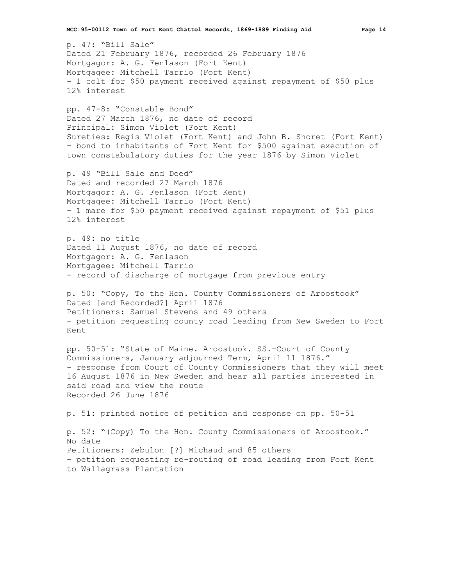**MCC:95-00112 Town of Fort Kent Chattel Records, 1869-1889 Finding Aid Page 14**

p. 47: "Bill Sale" Dated 21 February 1876, recorded 26 February 1876 Mortgagor: A. G. Fenlason (Fort Kent) Mortgagee: Mitchell Tarrio (Fort Kent) - 1 colt for \$50 payment received against repayment of \$50 plus 12% interest

pp. 47-8: "Constable Bond" Dated 27 March 1876, no date of record Principal: Simon Violet (Fort Kent) Sureties: Regis Violet (Fort Kent) and John B. Shoret (Fort Kent) - bond to inhabitants of Fort Kent for \$500 against execution of town constabulatory duties for the year 1876 by Simon Violet

p. 49 "Bill Sale and Deed" Dated and recorded 27 March 1876 Mortgagor: A. G. Fenlason (Fort Kent) Mortgagee: Mitchell Tarrio (Fort Kent) - 1 mare for \$50 payment received against repayment of \$51 plus 12% interest

p. 49: no title Dated 11 August 1876, no date of record Mortgagor: A. G. Fenlason Mortgagee: Mitchell Tarrio - record of discharge of mortgage from previous entry

p. 50: "Copy, To the Hon. County Commissioners of Aroostook" Dated [and Recorded?] April 1876 Petitioners: Samuel Stevens and 49 others - petition requesting county road leading from New Sweden to Fort Kent

pp. 50-51: "State of Maine. Aroostook. SS.-Court of County Commissioners, January adjourned Term, April 11 1876." - response from Court of County Commissioners that they will meet 16 August 1876 in New Sweden and hear all parties interested in said road and view the route Recorded 26 June 1876

p. 51: printed notice of petition and response on pp. 50-51

p. 52: "(Copy) To the Hon. County Commissioners of Aroostook." No date Petitioners: Zebulon [?] Michaud and 85 others - petition requesting re-routing of road leading from Fort Kent to Wallagrass Plantation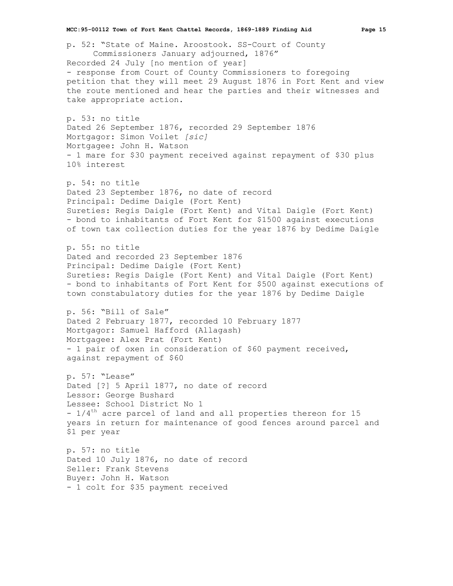p. 52: "State of Maine. Aroostook. SS-Court of County Commissioners January adjourned, 1876" Recorded 24 July [no mention of year] - response from Court of County Commissioners to foregoing petition that they will meet 29 August 1876 in Fort Kent and view the route mentioned and hear the parties and their witnesses and take appropriate action. p. 53: no title Dated 26 September 1876, recorded 29 September 1876 Mortgagor: Simon Voilet *[sic]* Mortgagee: John H. Watson - 1 mare for \$30 payment received against repayment of \$30 plus 10% interest p. 54: no title Dated 23 September 1876, no date of record Principal: Dedime Daigle (Fort Kent) Sureties: Regis Daigle (Fort Kent) and Vital Daigle (Fort Kent) - bond to inhabitants of Fort Kent for \$1500 against executions of town tax collection duties for the year 1876 by Dedime Daigle p. 55: no title Dated and recorded 23 September 1876 Principal: Dedime Daigle (Fort Kent) Sureties: Regis Daigle (Fort Kent) and Vital Daigle (Fort Kent) - bond to inhabitants of Fort Kent for \$500 against executions of town constabulatory duties for the year 1876 by Dedime Daigle p. 56: "Bill of Sale" Dated 2 February 1877, recorded 10 February 1877 Mortgagor: Samuel Hafford (Allagash) Mortgagee: Alex Prat (Fort Kent) - 1 pair of oxen in consideration of \$60 payment received, against repayment of \$60 p. 57: "Lease" Dated [?] 5 April 1877, no date of record Lessor: George Bushard Lessee: School District No 1  $1/4$ <sup>th</sup> acre parcel of land and all properties thereon for 15 years in return for maintenance of good fences around parcel and \$1 per year p. 57: no title Dated 10 July 1876, no date of record Seller: Frank Stevens Buyer: John H. Watson - 1 colt for \$35 payment received

**MCC:95-00112 Town of Fort Kent Chattel Records, 1869-1889 Finding Aid Page 15**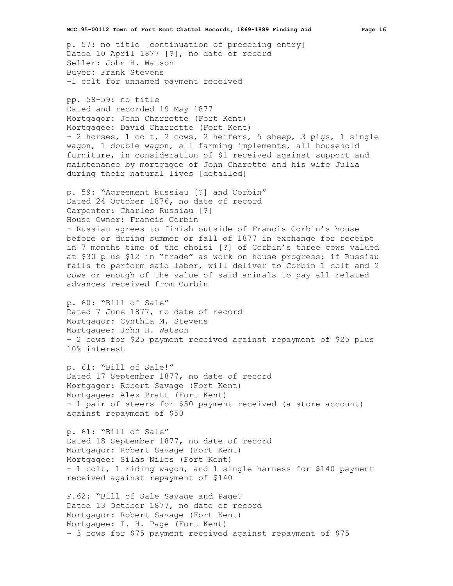p. 57: no title [continuation of preceding entry] Dated 10 April 1877 [?], no date of record Seller: John H. Watson Buyer: Frank Stevens -1 colt for unnamed payment received

pp. 58-59: no title Dated and recorded 19 May 1877 Mortgagor: John Charrette (Fort Kent) Mortgagee: David Charrette (Fort Kent) - 2 horses, 1 colt, 2 cows, 2 heifers, 5 sheep, 3 pigs, 1 single wagon, 1 double wagon, all farming implements, all household furniture, in consideration of \$1 received against support and maintenance by mortgagee of John Charette and his wife Julia during their natural lives [detailed]

p. 59: "Agreement Russiau [?] and Corbin" Dated 24 October 1876, no date of record Carpenter: Charles Russiau [?] House Owner: Francis Corbin - Russiau agrees to finish outside of Francis Corbin's house before or during summer or fall of 1877 in exchange for receipt in 7 months time of the choisi [?] of Corbin's three cows valued at \$30 plus \$12 in "trade" as work on house progress; if Russiau fails to perform said labor, will deliver to Corbin 1 colt and 2 cows or enough of the value of said animals to pay all related advances received from Corbin

p. 60: "Bill of Sale" Dated 7 June 1877, no date of record Mortgagor: Cynthia M. Stevens Mortgagee: John H. Watson - 2 cows for \$25 payment received against repayment of \$25 plus 10% interest

p. 61: "Bill of Sale!" Dated 17 September 1877, no date of record Mortgagor: Robert Savage (Fort Kent) Mortgagee: Alex Pratt (Fort Kent) - 1 pair of steers for \$50 payment received (a store account) against repayment of \$50

p. 61: "Bill of Sale" Dated 18 September 1877, no date of record Mortgagor: Robert Savage (Fort Kent) Mortgagee: Silas Niles (Fort Kent) - 1 colt, 1 riding wagon, and 1 single harness for \$140 payment received against repayment of \$140

P.62: "Bill of Sale Savage and Page? Dated 13 October 1877, no date of record Mortgagor: Robert Savage (Fort Kent) Mortgagee: I. H. Page (Fort Kent) - 3 cows for \$75 payment received against repayment of \$75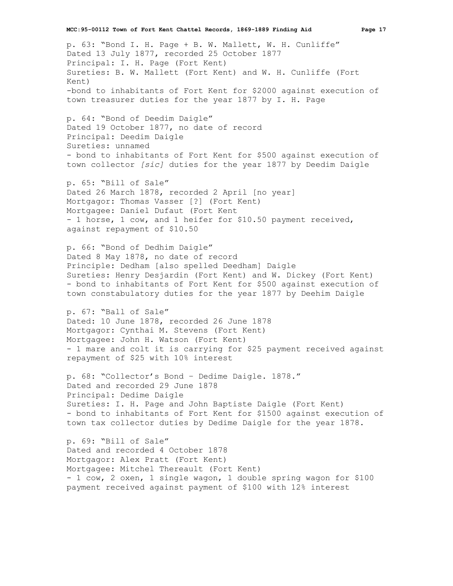p. 63: "Bond I. H. Page + B. W. Mallett, W. H. Cunliffe" Dated 13 July 1877, recorded 25 October 1877 Principal: I. H. Page (Fort Kent) Sureties: B. W. Mallett (Fort Kent) and W. H. Cunliffe (Fort Kent) -bond to inhabitants of Fort Kent for \$2000 against execution of town treasurer duties for the year 1877 by I. H. Page

p. 64: "Bond of Deedim Daigle" Dated 19 October 1877, no date of record Principal: Deedim Daigle Sureties: unnamed - bond to inhabitants of Fort Kent for \$500 against execution of town collector *[sic]* duties for the year 1877 by Deedim Daigle

p. 65: "Bill of Sale" Dated 26 March 1878, recorded 2 April [no year] Mortgagor: Thomas Vasser [?] (Fort Kent) Mortgagee: Daniel Dufaut (Fort Kent - 1 horse, 1 cow, and 1 heifer for \$10.50 payment received, against repayment of \$10.50

p. 66: "Bond of Dedhim Daigle" Dated 8 May 1878, no date of record Principle: Dedham [also spelled Deedham] Daigle Sureties: Henry Desjardin (Fort Kent) and W. Dickey (Fort Kent) - bond to inhabitants of Fort Kent for \$500 against execution of town constabulatory duties for the year 1877 by Deehim Daigle

p. 67: "Ball of Sale" Dated: 10 June 1878, recorded 26 June 1878 Mortgagor: Cynthai M. Stevens (Fort Kent) Mortgagee: John H. Watson (Fort Kent) - 1 mare and colt it is carrying for \$25 payment received against repayment of \$25 with 10% interest

p. 68: "Collector's Bond – Dedime Daigle. 1878." Dated and recorded 29 June 1878 Principal: Dedime Daigle Sureties: I. H. Page and John Baptiste Daigle (Fort Kent) - bond to inhabitants of Fort Kent for \$1500 against execution of town tax collector duties by Dedime Daigle for the year 1878.

p. 69: "Bill of Sale" Dated and recorded 4 October 1878 Mortgagor: Alex Pratt (Fort Kent) Mortgagee: Mitchel Thereault (Fort Kent) - 1 cow, 2 oxen, 1 single wagon, 1 double spring wagon for \$100 payment received against payment of \$100 with 12% interest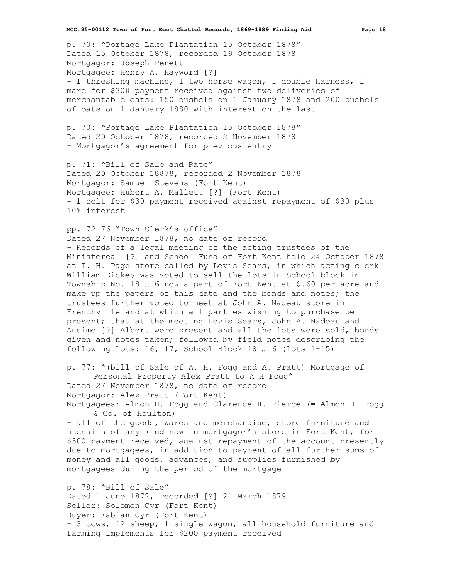p. 70: "Portage Lake Plantation 15 October 1878" Dated 15 October 1878, recorded 19 October 1878 Mortgagor: Joseph Penett Mortgagee: Henry A. Hayword [?] - 1 threshing machine, 1 two horse wagon, 1 double harness, 1 mare for \$300 payment received against two deliveries of merchantable oats: 150 bushels on 1 January 1878 and 200 bushels of oats on 1 January 1880 with interest on the last

p. 70: "Portage Lake Plantation 15 October 1878" Dated 20 October 1878, recorded 2 November 1878 - Mortgagor's agreement for previous entry

p. 71: "Bill of Sale and Rate" Dated 20 October 18878, recorded 2 November 1878 Mortgagor: Samuel Stevens (Fort Kent) Mortgagee: Hubert A. Mallett [?] (Fort Kent) - 1 colt for \$30 payment received against repayment of \$30 plus 10% interest

pp. 72-76 "Town Clerk's office" Dated 27 November 1878, no date of record - Records of a legal meeting of the acting trustees of the Ministereal [?] and School Fund of Fort Kent held 24 October 1878 at I. H. Page store called by Levis Sears, in which acting clerk William Dickey was voted to sell the lots in School block in Township No. 18 … 6 now a part of Fort Kent at \$.60 per acre and make up the papers of this date and the bonds and notes; the trustees further voted to meet at John A. Nadeau store in Frenchville and at which all parties wishing to purchase be present; that at the meeting Levis Sears, John A. Nadeau and Ansime [?] Albert were present and all the lots were sold, bonds given and notes taken; followed by field notes describing the following lots: 16, 17, School Block 18 … 6 (lots 1-15)

p. 77: "(bill of Sale of A. H. Fogg and A. Pratt) Mortgage of Personal Property Alex Pratt to A H Fogg" Dated 27 November 1878, no date of record Mortgagor: Alex Pratt (Fort Kent) Mortgagees: Almon H. Fogg and Clarence H. Pierce (= Almon H. Fogg & Co. of Houlton)

- all of the goods, wares and merchandise, store furniture and utensils of any kind now in mortgagor's store in Fort Kent, for \$500 payment received, against repayment of the account presently due to mortgagees, in addition to payment of all further sums of money and all goods, advances, and supplies furnished by mortgagees during the period of the mortgage

p. 78: "Bill of Sale" Dated 1 June 1872, recorded [?] 21 March 1879 Seller: Solomon Cyr (Fort Kent) Buyer: Fabian Cyr (Fort Kent) - 3 cows, 12 sheep, 1 single wagon, all household furniture and farming implements for \$200 payment received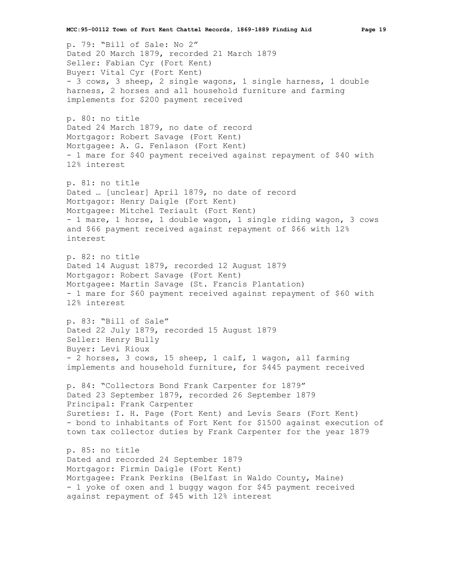p. 79: "Bill of Sale: No 2" Dated 20 March 1879, recorded 21 March 1879 Seller: Fabian Cyr (Fort Kent) Buyer: Vital Cyr (Fort Kent) - 3 cows, 3 sheep, 2 single wagons, 1 single harness, 1 double harness, 2 horses and all household furniture and farming implements for \$200 payment received

p. 80: no title Dated 24 March 1879, no date of record Mortgagor: Robert Savage (Fort Kent) Mortgagee: A. G. Fenlason (Fort Kent) - 1 mare for \$40 payment received against repayment of \$40 with 12% interest

p. 81: no title Dated … [unclear] April 1879, no date of record Mortgagor: Henry Daigle (Fort Kent) Mortgagee: Mitchel Teriault (Fort Kent) - 1 mare, 1 horse, 1 double wagon, 1 single riding wagon, 3 cows and \$66 payment received against repayment of \$66 with 12% interest

p. 82: no title Dated 14 August 1879, recorded 12 August 1879 Mortgagor: Robert Savage (Fort Kent) Mortgagee: Martin Savage (St. Francis Plantation) - 1 mare for \$60 payment received against repayment of \$60 with 12% interest

p. 83: "Bill of Sale" Dated 22 July 1879, recorded 15 August 1879 Seller: Henry Bully Buyer: Levi Rioux - 2 horses, 3 cows, 15 sheep, 1 calf, 1 wagon, all farming implements and household furniture, for \$445 payment received

p. 84: "Collectors Bond Frank Carpenter for 1879" Dated 23 September 1879, recorded 26 September 1879 Principal: Frank Carpenter Sureties: I. H. Page (Fort Kent) and Levis Sears (Fort Kent) - bond to inhabitants of Fort Kent for \$1500 against execution of town tax collector duties by Frank Carpenter for the year 1879

p. 85: no title Dated and recorded 24 September 1879 Mortgagor: Firmin Daigle (Fort Kent) Mortgagee: Frank Perkins (Belfast in Waldo County, Maine) - 1 yoke of oxen and 1 buggy wagon for \$45 payment received against repayment of \$45 with 12% interest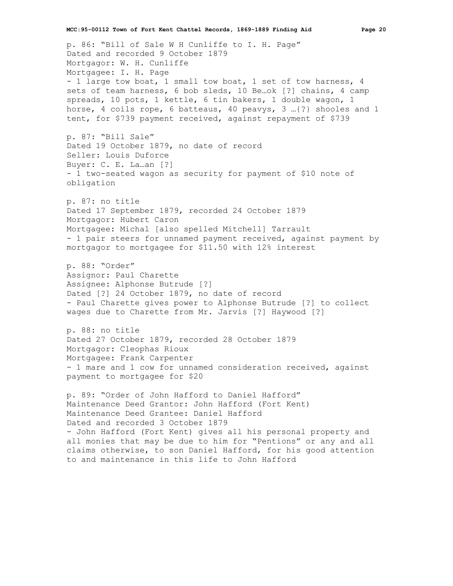p. 86: "Bill of Sale W H Cunliffe to I. H. Page" Dated and recorded 9 October 1879 Mortgagor: W. H. Cunliffe Mortgagee: I. H. Page - 1 large tow boat, 1 small tow boat, 1 set of tow harness, 4 sets of team harness, 6 bob sleds, 10 Be…ok [?] chains, 4 camp spreads, 10 pots, 1 kettle, 6 tin bakers, 1 double wagon, 1 horse, 4 coils rope, 6 batteaus, 40 peavys, 3 …{?} shooles and 1 tent, for \$739 payment received, against repayment of \$739 p. 87: "Bill Sale" Dated 19 October 1879, no date of record Seller: Louis Duforce Buyer: C. E. La…an [?] - 1 two-seated wagon as security for payment of \$10 note of obligation p. 87: no title Dated 17 September 1879, recorded 24 October 1879 Mortgagor: Hubert Caron Mortgagee: Michal [also spelled Mitchell] Tarrault - 1 pair steers for unnamed payment received, against payment by mortgagor to mortgagee for \$11.50 with 12% interest p. 88: "Order" Assignor: Paul Charette Assignee: Alphonse Butrude [?] Dated [?] 24 October 1879, no date of record - Paul Charette gives power to Alphonse Butrude [?] to collect wages due to Charette from Mr. Jarvis [?] Haywood [?] p. 88: no title Dated 27 October 1879, recorded 28 October 1879 Mortgagor: Cleophas Rioux Mortgagee: Frank Carpenter - 1 mare and 1 cow for unnamed consideration received, against payment to mortgagee for \$20

p. 89: "Order of John Hafford to Daniel Hafford" Maintenance Deed Grantor: John Hafford (Fort Kent) Maintenance Deed Grantee: Daniel Hafford Dated and recorded 3 October 1879 - John Hafford (Fort Kent) gives all his personal property and all monies that may be due to him for "Pentions" or any and all claims otherwise, to son Daniel Hafford, for his good attention to and maintenance in this life to John Hafford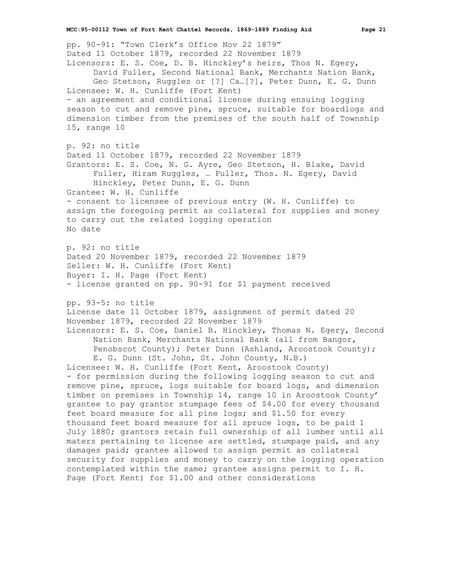pp. 90-91: "Town Clerk's Office Nov 22 1879" Dated 11 October 1879, recorded 22 November 1879 Licensors: E. S. Coe, D. B. Hinckley's heirs, Thos N. Egery, David Fuller, Second National Bank, Merchants Nation Bank, Geo Stetson, Ruggles or [?] Ca…[?], Peter Dunn, E. G. Dunn Licensee: W. H. Cunliffe (Fort Kent) - an agreement and conditional license during ensuing logging season to cut and remove pine, spruce, suitable for boardlogs and dimension timber from the premises of the south half of Township 15, range 10 p. 92: no title Dated 11 October 1879, recorded 22 November 1879 Grantors: E. S. Coe, N. G. Ayre, Geo Stetson, H. Blake, David Fuller, Hiram Ruggles, … Fuller, Thos. N. Egery, David Hinckley, Peter Dunn, E. G. Dunn Grantee: W. H. Cunliffe - consent to licensee of previous entry (W. H. Cunliffe) to assign the foregoing permit as collateral for supplies and money to carry out the related logging operation No date p. 92: no title Dated 20 November 1879, recorded 22 November 1879 Seller: W. H. Cunliffe (Fort Kent) Buyer: I. H. Page (Fort Kent) - license granted on pp. 90-91 for \$1 payment received pp. 93-5: no title License date 11 October 1879, assignment of permit dated 20 November 1879, recorded 22 November 1879 Licensors: E. S. Coe, Daniel B. Hinckley, Thomas N. Egery, Second Nation Bank, Merchants National Bank (all from Bangor, Penobscot County); Peter Dunn (Ashland, Aroostook County); E. G. Dunn (St. John, St. John County, N.B.) Licensee: W. H. Cunliffe (Fort Kent, Aroostook County) - for permission during the following logging season to cut and remove pine, spruce, logs suitable for board logs, and dimension timber on premises in Township 14, range 10 in Aroostook County' grantee to pay grantor stumpage fees of \$4.00 for every thousand feet board measure for all pine logs; and \$1.50 for every thousand feet board measure for all spruce logs, to be paid 1 July 1880; grantors retain full ownership of all lumber until all maters pertaining to license are settled, stumpage paid, and any damages paid; grantee allowed to assign permit as collateral security for supplies and money to carry on the logging operation contemplated within the same; grantee assigns permit to I. H. Page (Fort Kent) for \$1.00 and other considerations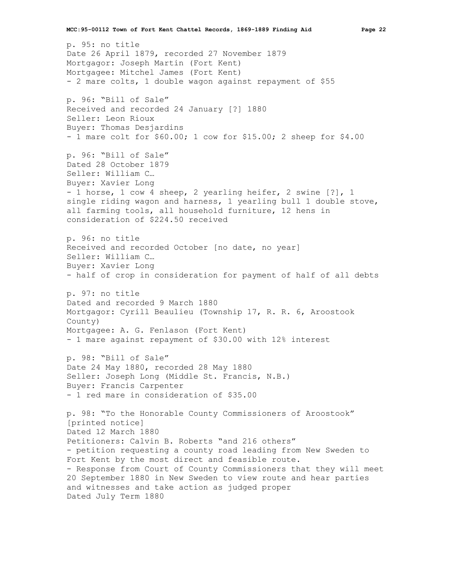p. 95: no title Date 26 April 1879, recorded 27 November 1879 Mortgagor: Joseph Martin (Fort Kent) Mortgagee: Mitchel James (Fort Kent) - 2 mare colts, 1 double wagon against repayment of \$55 p. 96: "Bill of Sale" Received and recorded 24 January [?] 1880 Seller: Leon Rioux Buyer: Thomas Desjardins - 1 mare colt for \$60.00; 1 cow for \$15.00; 2 sheep for \$4.00 p. 96: "Bill of Sale" Dated 28 October 1879 Seller: William C… Buyer: Xavier Long - 1 horse, 1 cow 4 sheep, 2 yearling heifer, 2 swine [?], 1 single riding wagon and harness, 1 yearling bull 1 double stove, all farming tools, all household furniture, 12 hens in consideration of \$224.50 received p. 96: no title Received and recorded October [no date, no year] Seller: William C… Buyer: Xavier Long - half of crop in consideration for payment of half of all debts p. 97: no title Dated and recorded 9 March 1880 Mortgagor: Cyrill Beaulieu (Township 17, R. R. 6, Aroostook County) Mortgagee: A. G. Fenlason (Fort Kent) - 1 mare against repayment of \$30.00 with 12% interest p. 98: "Bill of Sale" Date 24 May 1880, recorded 28 May 1880 Seller: Joseph Long (Middle St. Francis, N.B.) Buyer: Francis Carpenter - 1 red mare in consideration of \$35.00 p. 98: "To the Honorable County Commissioners of Aroostook" [printed notice] Dated 12 March 1880 Petitioners: Calvin B. Roberts "and 216 others" - petition requesting a county road leading from New Sweden to Fort Kent by the most direct and feasible route. - Response from Court of County Commissioners that they will meet 20 September 1880 in New Sweden to view route and hear parties and witnesses and take action as judged proper Dated July Term 1880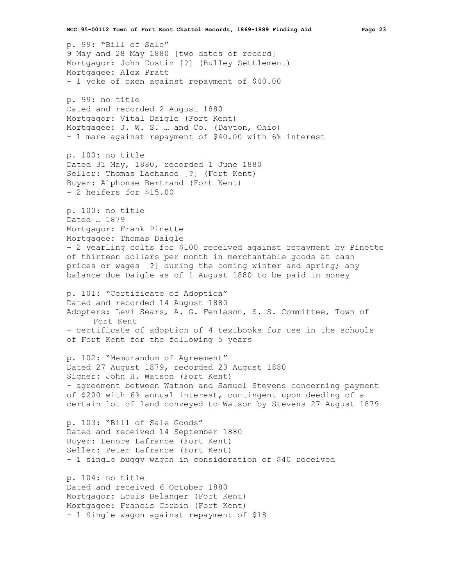p. 99: "Bill of Sale" 9 May and 28 May 1880 [two dates of record] Mortgagor: John Dustin [?] (Bulley Settlement) Mortgagee: Alex Pratt - 1 yoke of oxen against repayment of \$40.00 p. 99: no title Dated and recorded 2 August 1880 Mortgagor: Vital Daigle (Fort Kent) Mortgagee: J. W. S. … and Co. (Dayton, Ohio) - 1 mare against repayment of \$40.00 with 6% interest p. 100: no title Dated 31 May, 1880, recorded 1 June 1880 Seller: Thomas Lachance [?] (Fort Kent) Buyer: Alphonse Bertrand (Fort Kent) - 2 heifers for \$15.00 p. 100: no title Dated … 1879 Mortgagor: Frank Pinette Mortgagee: Thomas Daigle - 2 yearling colts for \$100 received against repayment by Pinette of thirteen dollars per month in merchantable goods at cash prices or wages [?] during the coming winter and spring; any balance due Daigle as of 1 August 1880 to be paid in money p. 101: "Certificate of Adoption" Dated and recorded 14 August 1880 Adopters: Levi Sears, A. G. Fenlason, S. S. Committee, Town of Fort Kent - certificate of adoption of 4 textbooks for use in the schools of Fort Kent for the following 5 years p. 102: "Memorandum of Agreement" Dated 27 August 1879, recorded 23 August 1880 Signer: John H. Watson (Fort Kent) - agreement between Watson and Samuel Stevens concerning payment of \$200 with 6% annual interest, contingent upon deeding of a certain lot of land conveyed to Watson by Stevens 27 August 1879 p. 103: "Bill of Sale Goods" Dated and received 14 September 1880 Buyer: Lenore Lafrance (Fort Kent) Seller: Peter Lafrance (Fort Kent) - 1 single buggy wagon in consideration of \$40 received p. 104: no title Dated and received 6 October 1880 Mortgagor: Louis Belanger (Fort Kent) Mortgagee: Francis Corbin (Fort Kent) - 1 Single wagon against repayment of \$18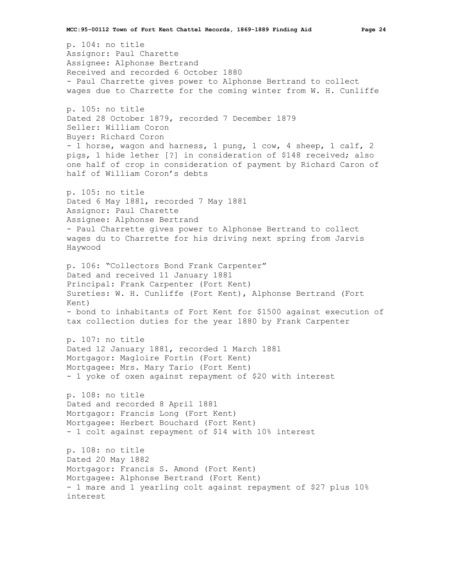p. 104: no title Assignor: Paul Charette Assignee: Alphonse Bertrand Received and recorded 6 October 1880 - Paul Charrette gives power to Alphonse Bertrand to collect wages due to Charrette for the coming winter from W. H. Cunliffe p. 105: no title Dated 28 October 1879, recorded 7 December 1879 Seller: William Coron Buyer: Richard Coron - 1 horse, wagon and harness, 1 pung, 1 cow, 4 sheep, 1 calf, 2 pigs, 1 hide lether [?] in consideration of \$148 received; also one half of crop in consideration of payment by Richard Caron of half of William Coron's debts p. 105: no title Dated 6 May 1881, recorded 7 May 1881 Assignor: Paul Charette Assignee: Alphonse Bertrand - Paul Charrette gives power to Alphonse Bertrand to collect wages du to Charrette for his driving next spring from Jarvis Haywood p. 106: "Collectors Bond Frank Carpenter" Dated and received 11 January 1881 Principal: Frank Carpenter (Fort Kent) Sureties: W. H. Cunliffe (Fort Kent), Alphonse Bertrand (Fort Kent) - bond to inhabitants of Fort Kent for \$1500 against execution of tax collection duties for the year 1880 by Frank Carpenter p. 107: no title Dated 12 January 1881, recorded 1 March 1881 Mortgagor: Magloire Fortin (Fort Kent) Mortgagee: Mrs. Mary Tario (Fort Kent) - 1 yoke of oxen against repayment of \$20 with interest p. 108: no title Dated and recorded 8 April 1881 Mortgagor: Francis Long (Fort Kent) Mortgagee: Herbert Bouchard (Fort Kent) - 1 colt against repayment of \$14 with 10% interest p. 108: no title Dated 20 May 1882 Mortgagor: Francis S. Amond (Fort Kent) Mortgagee: Alphonse Bertrand (Fort Kent) - 1 mare and 1 yearling colt against repayment of \$27 plus 10% interest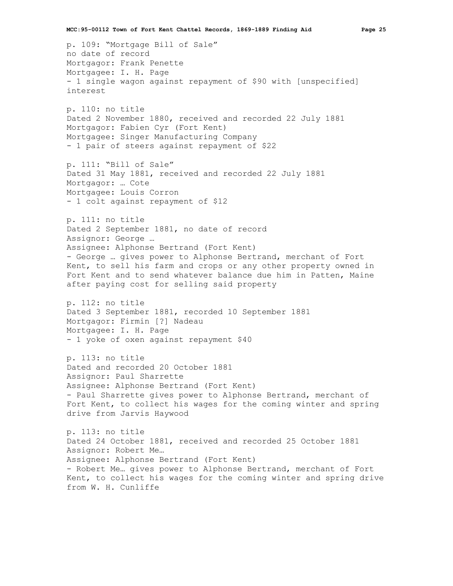p. 109: "Mortgage Bill of Sale" no date of record Mortgagor: Frank Penette Mortgagee: I. H. Page - 1 single wagon against repayment of \$90 with [unspecified] interest

p. 110: no title Dated 2 November 1880, received and recorded 22 July 1881 Mortgagor: Fabien Cyr (Fort Kent) Mortgagee: Singer Manufacturing Company - 1 pair of steers against repayment of \$22

p. 111: "Bill of Sale" Dated 31 May 1881, received and recorded 22 July 1881 Mortgagor: … Cote Mortgagee: Louis Corron - 1 colt against repayment of \$12

p. 111: no title Dated 2 September 1881, no date of record Assignor: George … Assignee: Alphonse Bertrand (Fort Kent) - George … gives power to Alphonse Bertrand, merchant of Fort Kent, to sell his farm and crops or any other property owned in Fort Kent and to send whatever balance due him in Patten, Maine after paying cost for selling said property

p. 112: no title Dated 3 September 1881, recorded 10 September 1881 Mortgagor: Firmin [?] Nadeau Mortgagee: I. H. Page - 1 yoke of oxen against repayment \$40

p. 113: no title Dated and recorded 20 October 1881 Assignor: Paul Sharrette Assignee: Alphonse Bertrand (Fort Kent) - Paul Sharrette gives power to Alphonse Bertrand, merchant of Fort Kent, to collect his wages for the coming winter and spring drive from Jarvis Haywood

p. 113: no title Dated 24 October 1881, received and recorded 25 October 1881 Assignor: Robert Me… Assignee: Alphonse Bertrand (Fort Kent) - Robert Me… gives power to Alphonse Bertrand, merchant of Fort Kent, to collect his wages for the coming winter and spring drive from W. H. Cunliffe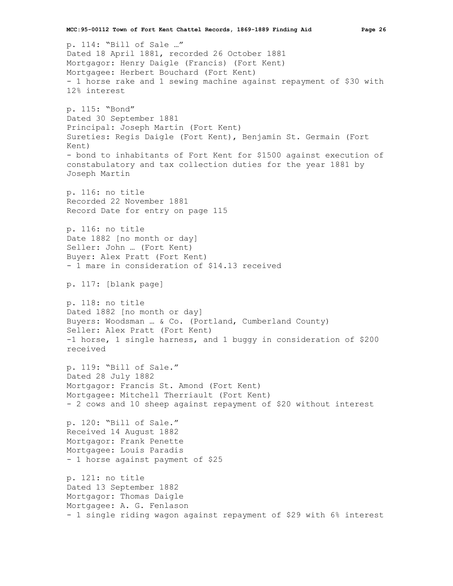p. 114: "Bill of Sale …" Dated 18 April 1881, recorded 26 October 1881 Mortgagor: Henry Daigle (Francis) (Fort Kent) Mortgagee: Herbert Bouchard (Fort Kent) - 1 horse rake and 1 sewing machine against repayment of \$30 with 12% interest p. 115: "Bond" Dated 30 September 1881 Principal: Joseph Martin (Fort Kent) Sureties: Regis Daigle (Fort Kent), Benjamin St. Germain (Fort Kent) - bond to inhabitants of Fort Kent for \$1500 against execution of constabulatory and tax collection duties for the year 1881 by Joseph Martin p. 116: no title Recorded 22 November 1881 Record Date for entry on page 115 p. 116: no title Date 1882 [no month or day] Seller: John … (Fort Kent) Buyer: Alex Pratt (Fort Kent) - 1 mare in consideration of \$14.13 received p. 117: [blank page] p. 118: no title Dated 1882 [no month or day] Buyers: Woodsman … & Co. (Portland, Cumberland County) Seller: Alex Pratt (Fort Kent) -1 horse, 1 single harness, and 1 buggy in consideration of \$200 received p. 119: "Bill of Sale." Dated 28 July 1882 Mortgagor: Francis St. Amond (Fort Kent) Mortgagee: Mitchell Therriault (Fort Kent) - 2 cows and 10 sheep against repayment of \$20 without interest p. 120: "Bill of Sale." Received 14 August 1882 Mortgagor: Frank Penette Mortgagee: Louis Paradis - 1 horse against payment of \$25 p. 121: no title Dated 13 September 1882 Mortgagor: Thomas Daigle Mortgagee: A. G. Fenlason - 1 single riding wagon against repayment of \$29 with 6% interest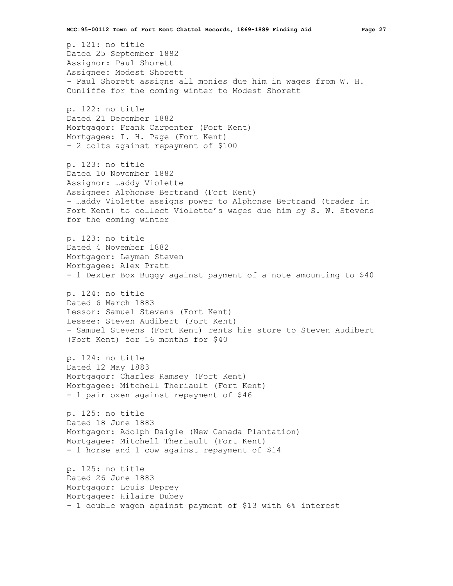p. 121: no title Dated 25 September 1882 Assignor: Paul Shorett Assignee: Modest Shorett - Paul Shorett assigns all monies due him in wages from W. H. Cunliffe for the coming winter to Modest Shorett p. 122: no title Dated 21 December 1882 Mortgagor: Frank Carpenter (Fort Kent) Mortgagee: I. H. Page (Fort Kent) - 2 colts against repayment of \$100 p. 123: no title Dated 10 November 1882 Assignor: …addy Violette Assignee: Alphonse Bertrand (Fort Kent) - …addy Violette assigns power to Alphonse Bertrand (trader in Fort Kent) to collect Violette's wages due him by S. W. Stevens for the coming winter p. 123: no title Dated 4 November 1882 Mortgagor: Leyman Steven Mortgagee: Alex Pratt - 1 Dexter Box Buggy against payment of a note amounting to \$40 p. 124: no title Dated 6 March 1883 Lessor: Samuel Stevens (Fort Kent) Lessee: Steven Audibert (Fort Kent) - Samuel Stevens (Fort Kent) rents his store to Steven Audibert (Fort Kent) for 16 months for \$40 p. 124: no title Dated 12 May 1883 Mortgagor: Charles Ramsey (Fort Kent) Mortgagee: Mitchell Theriault (Fort Kent) - 1 pair oxen against repayment of \$46 p. 125: no title Dated 18 June 1883 Mortgagor: Adolph Daigle (New Canada Plantation) Mortgagee: Mitchell Theriault (Fort Kent) - 1 horse and 1 cow against repayment of \$14 p. 125: no title Dated 26 June 1883 Mortgagor: Louis Deprey Mortgagee: Hilaire Dubey - 1 double wagon against payment of \$13 with 6% interest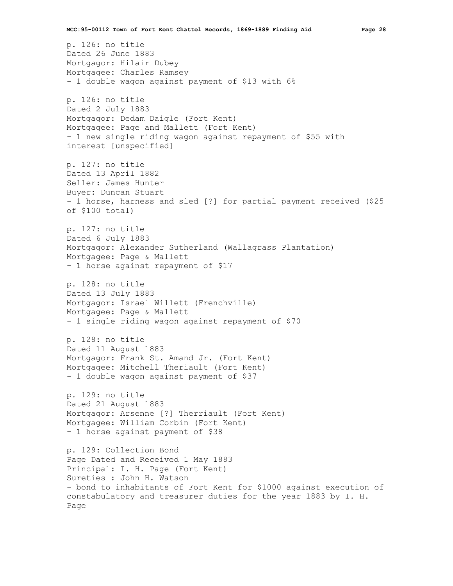p. 126: no title Dated 26 June 1883 Mortgagor: Hilair Dubey Mortgagee: Charles Ramsey - 1 double wagon against payment of \$13 with 6% p. 126: no title Dated 2 July 1883 Mortgagor: Dedam Daigle (Fort Kent) Mortgagee: Page and Mallett (Fort Kent) - 1 new single riding wagon against repayment of \$55 with interest [unspecified] p. 127: no title Dated 13 April 1882 Seller: James Hunter Buyer: Duncan Stuart - 1 horse, harness and sled [?] for partial payment received (\$25 of \$100 total) p. 127: no title Dated 6 July 1883 Mortgagor: Alexander Sutherland (Wallagrass Plantation) Mortgagee: Page & Mallett - 1 horse against repayment of \$17 p. 128: no title Dated 13 July 1883 Mortgagor: Israel Willett (Frenchville) Mortgagee: Page & Mallett - 1 single riding wagon against repayment of \$70 p. 128: no title Dated 11 August 1883 Mortgagor: Frank St. Amand Jr. (Fort Kent) Mortgagee: Mitchell Theriault (Fort Kent) - 1 double wagon against payment of \$37 p. 129: no title Dated 21 August 1883 Mortgagor: Arsenne [?] Therriault (Fort Kent) Mortgagee: William Corbin (Fort Kent) - 1 horse against payment of \$38 p. 129: Collection Bond Page Dated and Received 1 May 1883 Principal: I. H. Page (Fort Kent) Sureties : John H. Watson - bond to inhabitants of Fort Kent for \$1000 against execution of constabulatory and treasurer duties for the year 1883 by I. H. Page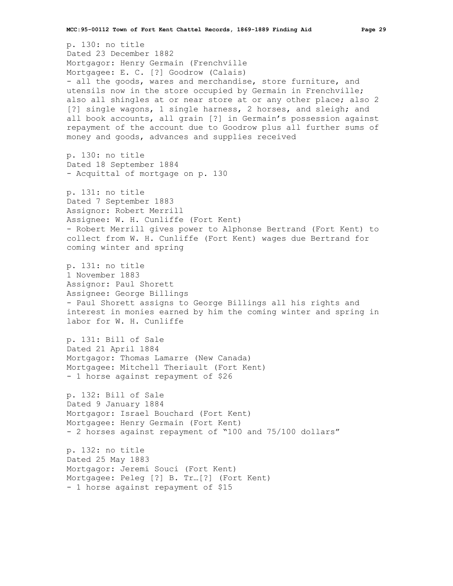p. 130: no title Dated 23 December 1882 Mortgagor: Henry Germain (Frenchville Mortgagee: E. C. [?] Goodrow (Calais) - all the goods, wares and merchandise, store furniture, and utensils now in the store occupied by Germain in Frenchville; also all shingles at or near store at or any other place; also 2 [?] single wagons, 1 single harness, 2 horses, and sleigh; and all book accounts, all grain [?] in Germain's possession against repayment of the account due to Goodrow plus all further sums of money and goods, advances and supplies received p. 130: no title Dated 18 September 1884 - Acquittal of mortgage on p. 130 p. 131: no title Dated 7 September 1883 Assignor: Robert Merrill Assignee: W. H. Cunliffe (Fort Kent) - Robert Merrill gives power to Alphonse Bertrand (Fort Kent) to collect from W. H. Cunliffe (Fort Kent) wages due Bertrand for coming winter and spring p. 131: no title 1 November 1883 Assignor: Paul Shorett Assignee: George Billings - Paul Shorett assigns to George Billings all his rights and interest in monies earned by him the coming winter and spring in labor for W. H. Cunliffe p. 131: Bill of Sale Dated 21 April 1884 Mortgagor: Thomas Lamarre (New Canada) Mortgagee: Mitchell Theriault (Fort Kent) - 1 horse against repayment of \$26 p. 132: Bill of Sale Dated 9 January 1884 Mortgagor: Israel Bouchard (Fort Kent) Mortgagee: Henry Germain (Fort Kent) - 2 horses against repayment of "100 and 75/100 dollars" p. 132: no title Dated 25 May 1883 Mortgagor: Jeremi Souci (Fort Kent) Mortgagee: Peleg [?] B. Tr…[?] (Fort Kent) - 1 horse against repayment of \$15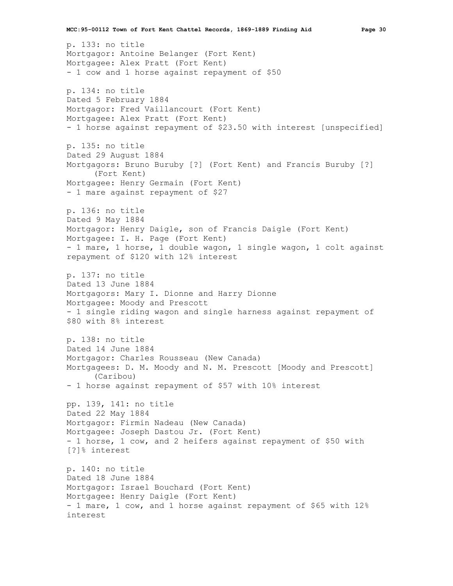p. 133: no title Mortgagor: Antoine Belanger (Fort Kent) Mortgagee: Alex Pratt (Fort Kent) - 1 cow and 1 horse against repayment of \$50 p. 134: no title Dated 5 February 1884 Mortgagor: Fred Vaillancourt (Fort Kent) Mortgagee: Alex Pratt (Fort Kent) - 1 horse against repayment of \$23.50 with interest [unspecified] p. 135: no title Dated 29 August 1884 Mortgagors: Bruno Buruby [?] (Fort Kent) and Francis Buruby [?] (Fort Kent) Mortgagee: Henry Germain (Fort Kent) - 1 mare against repayment of \$27 p. 136: no title Dated 9 May 1884 Mortgagor: Henry Daigle, son of Francis Daigle (Fort Kent) Mortgagee: I. H. Page (Fort Kent) - 1 mare, 1 horse, 1 double wagon, 1 single wagon, 1 colt against repayment of \$120 with 12% interest p. 137: no title Dated 13 June 1884 Mortgagors: Mary I. Dionne and Harry Dionne Mortgagee: Moody and Prescott - 1 single riding wagon and single harness against repayment of \$80 with 8% interest p. 138: no title Dated 14 June 1884 Mortgagor: Charles Rousseau (New Canada) Mortgagees: D. M. Moody and N. M. Prescott [Moody and Prescott] (Caribou) - 1 horse against repayment of \$57 with 10% interest pp. 139, 141: no title Dated 22 May 1884 Mortgagor: Firmin Nadeau (New Canada) Mortgagee: Joseph Dastou Jr. (Fort Kent) - 1 horse, 1 cow, and 2 heifers against repayment of \$50 with [?]% interest p. 140: no title Dated 18 June 1884 Mortgagor: Israel Bouchard (Fort Kent) Mortgagee: Henry Daigle (Fort Kent) - 1 mare, 1 cow, and 1 horse against repayment of \$65 with 12% interest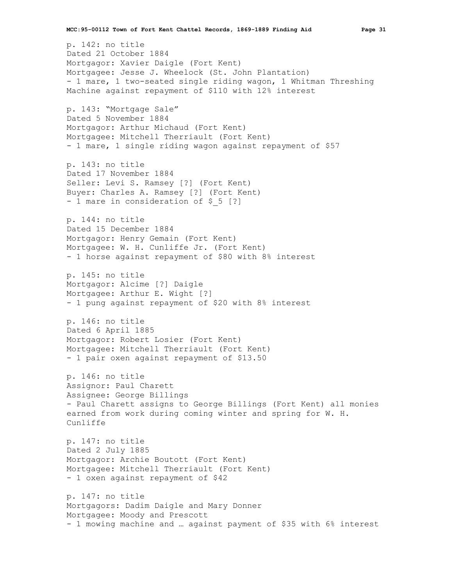p. 142: no title Dated 21 October 1884 Mortgagor: Xavier Daigle (Fort Kent) Mortgagee: Jesse J. Wheelock (St. John Plantation) - 1 mare, 1 two-seated single riding wagon, 1 Whitman Threshing Machine against repayment of \$110 with 12% interest p. 143: "Mortgage Sale" Dated 5 November 1884 Mortgagor: Arthur Michaud (Fort Kent) Mortgagee: Mitchell Therriault (Fort Kent) - 1 mare, 1 single riding wagon against repayment of \$57 p. 143: no title Dated 17 November 1884 Seller: Levi S. Ramsey [?] (Fort Kent) Buyer: Charles A. Ramsey [?] (Fort Kent) - 1 mare in consideration of \$ 5 [?] p. 144: no title Dated 15 December 1884 Mortgagor: Henry Gemain (Fort Kent) Mortgagee: W. H. Cunliffe Jr. (Fort Kent) - 1 horse against repayment of \$80 with 8% interest p. 145: no title Mortgagor: Alcime [?] Daigle Mortgagee: Arthur E. Wight [?] - 1 pung against repayment of \$20 with 8% interest p. 146: no title Dated 6 April 1885 Mortgagor: Robert Losier (Fort Kent) Mortgagee: Mitchell Therriault (Fort Kent) - 1 pair oxen against repayment of \$13.50 p. 146: no title Assignor: Paul Charett Assignee: George Billings - Paul Charett assigns to George Billings (Fort Kent) all monies earned from work during coming winter and spring for W. H. Cunliffe p. 147: no title Dated 2 July 1885 Mortgagor: Archie Boutott (Fort Kent) Mortgagee: Mitchell Therriault (Fort Kent) - 1 oxen against repayment of \$42 p. 147: no title Mortgagors: Dadim Daigle and Mary Donner Mortgagee: Moody and Prescott - 1 mowing machine and … against payment of \$35 with 6% interest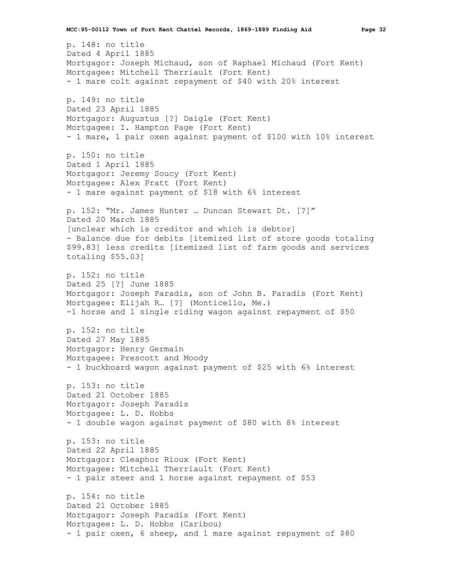p. 148: no title Dated 4 April 1885 Mortgagor: Joseph Michaud, son of Raphael Michaud (Fort Kent) Mortgagee: Mitchell Therriault (Fort Kent) - 1 mare colt against repayment of \$40 with 20% interest p. 149: no title Dated 23 April 1885 Mortgagor: Augustus [?] Daigle (Fort Kent) Mortgagee: I. Hampton Page (Fort Kent) - 1 mare, 1 pair oxen against payment of \$100 with 10% interest p. 150: no title Dated 1 April 1885 Mortgagor: Jeremy Soucy (Fort Kent) Mortgagee: Alex Pratt (Fort Kent) - 1 mare against payment of \$18 with 6% interest p. 152: "Mr. James Hunter … Duncan Stewart Dt. [?]" Dated 20 March 1885 [unclear which is creditor and which is debtor] - Balance due for debits [itemized list of store goods totaling \$99.83] less credits [itemized list of farm goods and services totaling \$55.03] p. 152: no title Dated 25 [?] June 1885 Mortgagor: Joseph Paradis, son of John B. Paradis (Fort Kent) Mortgagee: Elijah R… [?] (Monticello, Me.) -1 horse and 1 single riding wagon against repayment of \$50 p. 152: no title Dated 27 May 1885 Mortgagor: Henry Germain Mortgagee: Prescott and Moody - 1 buckboard wagon against payment of \$25 with 6% interest p. 153: no title Dated 21 October 1885 Mortgagor: Joseph Paradis Mortgagee: L. D. Hobbs - 1 double wagon against payment of \$80 with 8% interest p. 153: no title Dated 22 April 1885 Mortgagor: Cleaphor Rioux (Fort Kent) Mortgagee: Mitchell Therriault (Fort Kent) - 1 pair steer and 1 horse against repayment of \$53 p. 154: no title Dated 21 October 1885 Mortgagor: Joseph Paradis (Fort Kent) Mortgagee: L. D. Hobbs (Caribou) - 1 pair oxen, 6 sheep, and 1 mare against repayment of \$80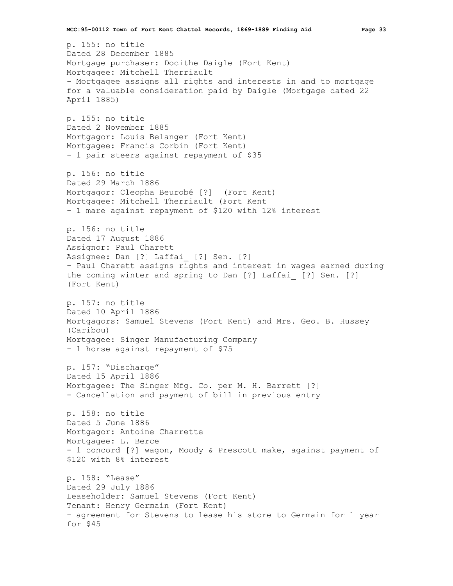p. 155: no title Dated 28 December 1885 Mortgage purchaser: Docithe Daigle (Fort Kent) Mortgagee: Mitchell Therriault - Mortgagee assigns all rights and interests in and to mortgage for a valuable consideration paid by Daigle (Mortgage dated 22 April 1885) p. 155: no title Dated 2 November 1885 Mortgagor: Louis Belanger (Fort Kent) Mortgagee: Francis Corbin (Fort Kent) - 1 pair steers against repayment of \$35 p. 156: no title Dated 29 March 1886 Mortgagor: Cleopha Beurobé [?] (Fort Kent) Mortgagee: Mitchell Therriault (Fort Kent - 1 mare against repayment of \$120 with 12% interest p. 156: no title Dated 17 August 1886 Assignor: Paul Charett Assignee: Dan [?] Laffai [?] Sen. [?] - Paul Charett assigns rights and interest in wages earned during the coming winter and spring to Dan [?] Laffai\_ [?] Sen. [?] (Fort Kent) p. 157: no title Dated 10 April 1886 Mortgagors: Samuel Stevens (Fort Kent) and Mrs. Geo. B. Hussey (Caribou) Mortgagee: Singer Manufacturing Company - 1 horse against repayment of \$75 p. 157: "Discharge" Dated 15 April 1886 Mortgagee: The Singer Mfg. Co. per M. H. Barrett [?] - Cancellation and payment of bill in previous entry p. 158: no title Dated 5 June 1886 Mortgagor: Antoine Charrette Mortgagee: L. Berce - 1 concord [?] wagon, Moody & Prescott make, against payment of \$120 with 8% interest p. 158: "Lease" Dated 29 July 1886 Leaseholder: Samuel Stevens (Fort Kent) Tenant: Henry Germain (Fort Kent) - agreement for Stevens to lease his store to Germain for 1 year for \$45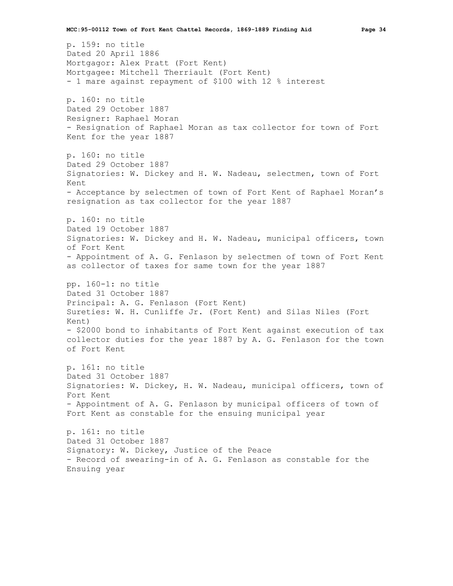p. 159: no title Dated 20 April 1886 Mortgagor: Alex Pratt (Fort Kent) Mortgagee: Mitchell Therriault (Fort Kent) - 1 mare against repayment of \$100 with 12 % interest p. 160: no title Dated 29 October 1887 Resigner: Raphael Moran - Resignation of Raphael Moran as tax collector for town of Fort Kent for the year 1887 p. 160: no title Dated 29 October 1887 Signatories: W. Dickey and H. W. Nadeau, selectmen, town of Fort Kent - Acceptance by selectmen of town of Fort Kent of Raphael Moran's resignation as tax collector for the year 1887 p. 160: no title Dated 19 October 1887 Signatories: W. Dickey and H. W. Nadeau, municipal officers, town of Fort Kent - Appointment of A. G. Fenlason by selectmen of town of Fort Kent as collector of taxes for same town for the year 1887 pp. 160-1: no title Dated 31 October 1887 Principal: A. G. Fenlason (Fort Kent) Sureties: W. H. Cunliffe Jr. (Fort Kent) and Silas Niles (Fort Kent) - \$2000 bond to inhabitants of Fort Kent against execution of tax collector duties for the year 1887 by A. G. Fenlason for the town of Fort Kent p. 161: no title Dated 31 October 1887 Signatories: W. Dickey, H. W. Nadeau, municipal officers, town of Fort Kent - Appointment of A. G. Fenlason by municipal officers of town of Fort Kent as constable for the ensuing municipal year p. 161: no title Dated 31 October 1887 Signatory: W. Dickey, Justice of the Peace - Record of swearing-in of A. G. Fenlason as constable for the Ensuing year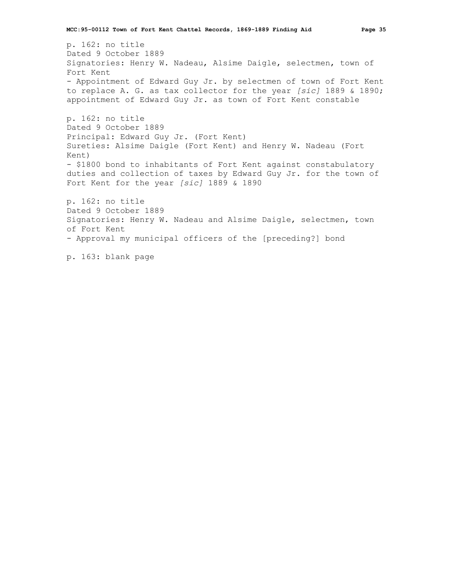p. 162: no title Dated 9 October 1889 Signatories: Henry W. Nadeau, Alsime Daigle, selectmen, town of Fort Kent - Appointment of Edward Guy Jr. by selectmen of town of Fort Kent to replace A. G. as tax collector for the year *[sic]* 1889 & 1890; appointment of Edward Guy Jr. as town of Fort Kent constable p. 162: no title

Dated 9 October 1889 Principal: Edward Guy Jr. (Fort Kent) Sureties: Alsime Daigle (Fort Kent) and Henry W. Nadeau (Fort Kent) - \$1800 bond to inhabitants of Fort Kent against constabulatory duties and collection of taxes by Edward Guy Jr. for the town of Fort Kent for the year *[sic]* 1889 & 1890 p. 162: no title

Dated 9 October 1889 Signatories: Henry W. Nadeau and Alsime Daigle, selectmen, town of Fort Kent - Approval my municipal officers of the [preceding?] bond

p. 163: blank page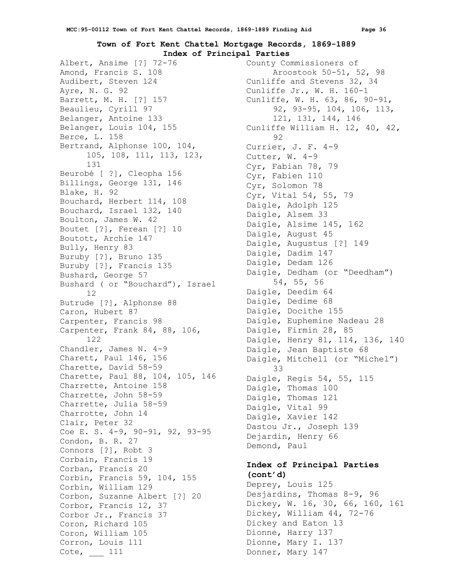## **Town of Fort Kent Chattel Mortgage Records, 1869-1889 Index of Principal Parties**

Albert, Ansime [?] 72-76 Amond, Francis S. 108 Audibert, Steven 124 Ayre, N. G. 92 Barrett, M. H. [?] 157 Beaulieu, Cyrill 97 Belanger, Antoine 133 Belanger, Louis 104, 155 Berce, L. 158 Bertrand, Alphonse 100, 104, 105, 108, 111, 113, 123, 131 Beurobé [ ?], Cleopha 156 Billings, George 131, 146 Blake, H. 92 Bouchard, Herbert 114, 108 Bouchard, Israel 132, 140 Boulton, James W. 42 Boutet [?], Ferean [?] 10 Boutott, Archie 147 Bully, Henry 83 Buruby [?], Bruno 135 Buruby [?], Francis 135 Bushard, George 57 Bushard ( or "Bouchard"), Israel 12 Butrude [?], Alphonse 88 Caron, Hubert 87 Carpenter, Francis 98 Carpenter, Frank 84, 88, 106, 122 Chandler, James N. 4-9 Charett, Paul 146, 156 Charette, David 58-59 Charette, Paul 88, 104, 105, 146 Charrette, Antoine 158 Charrette, John 58-59 Charrette, Julia 58-59 Charrotte, John 14 Clair, Peter 32 Coe E. S. 4-9, 90-91, 92, 93-95 Condon, B. R. 27 Connors [?], Robt 3 Corbain, Francis 19 Corban, Francis 20 Corbin, Francis 59, 104, 155 Corbin, William 129 Corbon, Suzanne Albert [?] 20 Corbor, Francis 12, 37 Corbor Jr., Francis 37 Coron, Richard 105 Coron, William 105 Corron, Louis 111 Cote, \_\_\_ 111

County Commissioners of Aroostook 50-51, 52, 98 Cunliffe and Stevens 32, 34 Cunliffe Jr., W. H. 160-1 Cunliffe, W. H. 63, 86, 90-91, 92, 93-95, 104, 106, 113, 121, 131, 144, 146 Cunliffe William H. 12, 40, 42, 92 Currier, J. F. 4-9 Cutter, W. 4-9 Cyr, Fabian 78, 79 Cyr, Fabien 110 Cyr, Solomon 78 Cyr, Vital 54, 55, 79 Daigle, Adolph 125 Daigle, Alsem 33 Daigle, Alsime 145, 162 Daigle, August 45 Daigle, Augustus [?] 149 Daigle, Dadim 147 Daigle, Dedam 126 Daigle, Dedham (or "Deedham") 54, 55, 56 Daigle, Deedim 64 Daigle, Dedime 68 Daigle, Docithe 155 Daigle, Euphemine Nadeau 28 Daigle, Firmin 28, 85 Daigle, Henry 81, 114, 136, 140 Daigle, Jean Baptiste 68 Daigle, Mitchell (or "Michel") 33 Daigle, Regis 54, 55, 115 Daigle, Thomas 100 Daigle, Thomas 121 Daigle, Vital 99 Daigle, Xavier 142 Dastou Jr., Joseph 139 Dejardin, Henry 66 Demond, Paul

## **Index of Principal Parties (cont'd)**

Deprey, Louis 125 Desjardins, Thomas 8-9, 96 Dickey, W. 16, 30, 66, 160, 161 Dickey, William 44, 72-76 Dickey and Eaton 13 Dionne, Harry 137 Dionne, Mary I. 137 Donner, Mary 147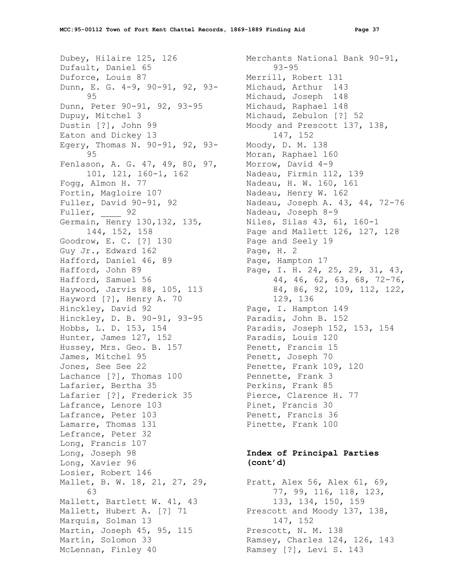Dubey, Hilaire 125, 126 Dufault, Daniel 65 Duforce, Louis 87 Dunn, E. G. 4-9, 90-91, 92, 93- 95 Dunn, Peter 90-91, 92, 93-95 Dupuy, Mitchel 3 Dustin [?], John 99 Eaton and Dickey 13 Egery, Thomas N. 90-91, 92, 93- 95 Fenlason, A. G. 47, 49, 80, 97, 101, 121, 160-1, 162 Fogg, Almon H. 77 Fortin, Magloire 107 Fuller, David 90-91, 92 Fuller, 92 Germain, Henry 130,132, 135, 144, 152, 158 Goodrow, E. C. [?] 130 Guy Jr., Edward 162 Hafford, Daniel 46, 89 Hafford, John 89 Hafford, Samuel 56 Haywood, Jarvis 88, 105, 113 Hayword [?], Henry A. 70 Hinckley, David 92 Hinckley, D. B. 90-91, 93-95 Hobbs, L. D. 153, 154 Hunter, James 127, 152 Hussey, Mrs. Geo. B. 157 James, Mitchel 95 Jones, See See 22 Lachance [?], Thomas 100 Lafarier, Bertha 35 Lafarier [?], Frederick 35 Lafrance, Lenore 103 Lafrance, Peter 103 Lamarre, Thomas 131 Lefrance, Peter 32 Long, Francis 107 Long, Joseph 98 Long, Xavier 96 Losier, Robert 146 Mallet, B. W. 18, 21, 27, 29, 63 Mallett, Bartlett W. 41, 43 Mallett, Hubert A. [?] 71 Marquis, Solman 13 Martin, Joseph 45, 95, 115 Martin, Solomon 33 McLennan, Finley 40

Merchants National Bank 90-91, 93-95 Merrill, Robert 131 Michaud, Arthur 143 Michaud, Joseph 148 Michaud, Raphael 148 Michaud, Zebulon [?] 52 Moody and Prescott 137, 138, 147, 152 Moody, D. M. 138 Moran, Raphael 160 Morrow, David 4-9 Nadeau, Firmin 112, 139 Nadeau, H. W. 160, 161 Nadeau, Henry W. 162 Nadeau, Joseph A. 43, 44, 72-76 Nadeau, Joseph 8-9 Niles, Silas 43, 61, 160-1 Page and Mallett 126, 127, 128 Page and Seely 19 Page, H. 2 Page, Hampton 17 Page, I. H. 24, 25, 29, 31, 43, 44, 46, 62, 63, 68, 72-76, 84, 86, 92, 109, 112, 122, 129, 136 Page, I. Hampton 149 Paradis, John B. 152 Paradis, Joseph 152, 153, 154 Paradis, Louis 120 Penett, Francis 15 Penett, Joseph 70 Penette, Frank 109, 120 Pennette, Frank 3 Perkins, Frank 85 Pierce, Clarence H. 77 Pinet, Francis 30 Penett, Francis 36 Pinette, Frank 100

## **Index of Principal Parties (cont'd)**

Pratt, Alex 56, Alex 61, 69, 77, 99, 116, 118, 123, 133, 134, 150, 159 Prescott and Moody 137, 138, 147, 152 Prescott, N. M. 138 Ramsey, Charles 124, 126, 143 Ramsey [?], Levi S. 143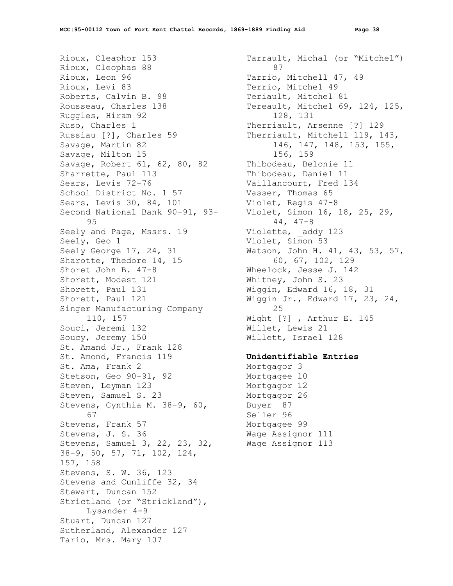Rioux, Cleaphor 153 Rioux, Cleophas 88 Rioux, Leon 96 Rioux, Levi 83 Roberts, Calvin B. 98 Rousseau, Charles 138 Ruggles, Hiram 92 Ruso, Charles 1 Russiau [?], Charles 59 Savage, Martin 82 Savage, Milton 15 Savage, Robert 61, 62, 80, 82 Sharrette, Paul 113 Sears, Levis 72-76 School District No. 1 57 Sears, Levis 30, 84, 101 Second National Bank 90-91, 93- 95 Seely and Page, Mssrs. 19 Seely, Geo 1 Seely George 17, 24, 31 Sharotte, Thedore 14, 15 Shoret John B. 47-8 Shorett, Modest 121 Shorett, Paul 131 Shorett, Paul 121 Singer Manufacturing Company 110, 157 Souci, Jeremi 132 Soucy, Jeremy 150 St. Amand Jr., Frank 128 St. Amond, Francis 119 St. Ama, Frank 2 Stetson, Geo 90-91, 92 Steven, Leyman 123 Steven, Samuel S. 23 Stevens, Cynthia M. 38-9, 60, 67 Stevens, Frank 57 Stevens, J. S. 36 Stevens, Samuel 3, 22, 23, 32, 38-9, 50, 57, 71, 102, 124, 157, 158 Stevens, S. W. 36, 123 Stevens and Cunliffe 32, 34 Stewart, Duncan 152 Strictland (or "Strickland"), Lysander 4-9 Stuart, Duncan 127 Sutherland, Alexander 127 Tario, Mrs. Mary 107

Tarrault, Michal (or "Mitchel") 87 Tarrio, Mitchell 47, 49 Terrio, Mitchel 49 Teriault, Mitchel 81 Tereault, Mitchel 69, 124, 125, 128, 131 Therriault, Arsenne [?] 129 Therriault, Mitchell 119, 143, 146, 147, 148, 153, 155, 156, 159 Thibodeau, Belonie 11 Thibodeau, Daniel 11 Vaillancourt, Fred 134 Vasser, Thomas 65 Violet, Regis 47-8 Violet, Simon 16, 18, 25, 29, 44, 47-8 Violette, addy 123 Violet, Simon 53 Watson, John H. 41, 43, 53, 57, 60, 67, 102, 129 Wheelock, Jesse J. 142 Whitney, John S. 23 Wiggin, Edward 16, 18, 31 Wiggin Jr., Edward 17, 23, 24, 25 Wight [?] , Arthur E. 145 Willet, Lewis 21 Willett, Israel 128

#### **Unidentifiable Entries**

Mortgagor 3 Mortgagee 10 Mortgagor 12 Mortgagor 26 Buyer 87 Seller 96 Mortgagee 99 Wage Assignor 111 Wage Assignor 113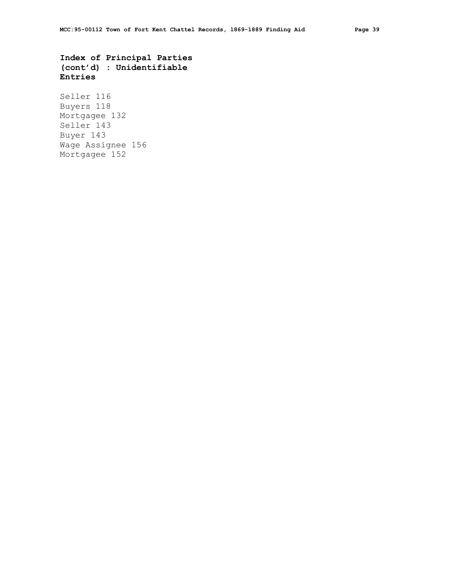**Index of Principal Parties (cont'd) : Unidentifiable Entries**

Seller 116 Buyers 118 Mortgagee 132 Seller 143 Buyer 143 Wage Assignee 156 Mortgagee 152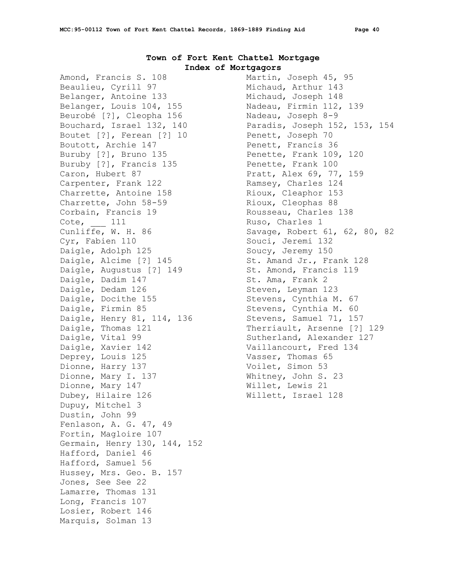## **Town of Fort Kent Chattel Mortgage Index of Mortgagors**

Amond, Francis S. 108 Beaulieu, Cyrill 97 Belanger, Antoine 133 Belanger, Louis 104, 155 Beurobé [?], Cleopha 156 Bouchard, Israel 132, 140 Boutet [?], Ferean [?] 10 Boutott, Archie 147 Buruby [?], Bruno 135 Buruby [?], Francis 135 Caron, Hubert 87 Carpenter, Frank 122 Charrette, Antoine 158 Charrette, John 58-59 Corbain, Francis 19 Cote, \_\_\_ 111 Cunliffe, W. H. 86 Cyr, Fabien 110 Daigle, Adolph 125 Daigle, Alcime [?] 145 Daigle, Augustus [?] 149 Daigle, Dadim 147 Daigle, Dedam 126 Daigle, Docithe 155 Daigle, Firmin 85 Daigle, Henry 81, 114, 136 Daigle, Thomas 121 Daigle, Vital 99 Daigle, Xavier 142 Deprey, Louis 125 Dionne, Harry 137 Dionne, Mary I. 137 Dionne, Mary 147 Dubey, Hilaire 126 Dupuy, Mitchel 3 Dustin, John 99 Fenlason, A. G. 47, 49 Fortin, Magloire 107 Germain, Henry 130, 144, 152 Hafford, Daniel 46 Hafford, Samuel 56 Hussey, Mrs. Geo. B. 157 Jones, See See 22 Lamarre, Thomas 131 Long, Francis 107 Losier, Robert 146 Marquis, Solman 13

```
Martin, Joseph 45, 95
   Michaud, Arthur 143
   Michaud, Joseph 148
   Nadeau, Firmin 112, 139
 Nadeau, Joseph 8-9
 Paradis, Joseph 152, 153, 154
  Penett, Joseph 70
  Penett, Francis 36
  Penette, Frank 109, 120
  Penette, Frank 100
  Pratt, Alex 69, 77, 159
  Ramsey, Charles 124
 Rioux, Cleaphor 153
 Rioux, Cleophas 88
 Rousseau, Charles 138
  Ruso, Charles 1
  Savage, Robert 61, 62, 80, 82
  Souci, Jeremi 132
 Soucy, Jeremy 150
  St. Amand Jr., Frank 128
  St. Amond, Francis 119
  St. Ama, Frank 2
   Steven, Leyman 123
  Stevens, Cynthia M. 67
  Stevens, Cynthia M. 60
 Stevens, Samuel 71, 157
  Therriault, Arsenne [?] 129
  Sutherland, Alexander 127
  Vaillancourt, Fred 134
  Vasser, Thomas 65
 Voilet, Simon 53
 Whitney, John S. 23
 Willet, Lewis 21
Willett, Israel 128
```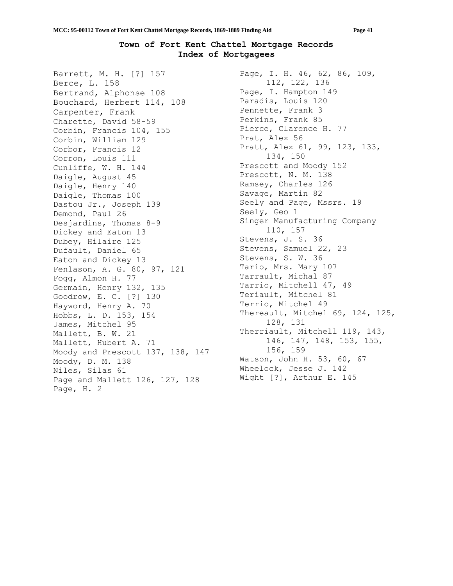## **Town of Fort Kent Chattel Mortgage Records Index of Mortgagees**

Barrett, M. H. [?] 157 Berce, L. 158 Bertrand, Alphonse 108 Bouchard, Herbert 114, 108 Carpenter, Frank Charette, David 58-59 Corbin, Francis 104, 155 Corbin, William 129 Corbor, Francis 12 Corron, Louis 111 Cunliffe, W. H. 144 Daigle, August 45 Daigle, Henry 140 Daigle, Thomas 100 Dastou Jr., Joseph 139 Demond, Paul 26 Desjardins, Thomas 8-9 Dickey and Eaton 13 Dubey, Hilaire 125 Dufault, Daniel 65 Eaton and Dickey 13 Fenlason, A. G. 80, 97, 121 Fogg, Almon H. 77 Germain, Henry 132, 135 Goodrow, E. C. [?] 130 Hayword, Henry A. 70 Hobbs, L. D. 153, 154 James, Mitchel 95 Mallett, B. W. 21 Mallett, Hubert A. 71 Moody and Prescott 137, 138, 147 Moody, D. M. 138 Niles, Silas 61 Page and Mallett 126, 127, 128 Page, H. 2

Page, I. H. 46, 62, 86, 109, 112, 122, 136 Page, I. Hampton 149 Paradis, Louis 120 Pennette, Frank 3 Perkins, Frank 85 Pierce, Clarence H. 77 Prat, Alex 56 Pratt, Alex 61, 99, 123, 133, 134, 150 Prescott and Moody 152 Prescott, N. M. 138 Ramsey, Charles 126 Savage, Martin 82 Seely and Page, Mssrs. 19 Seely, Geo 1 Singer Manufacturing Company 110, 157 Stevens, J. S. 36 Stevens, Samuel 22, 23 Stevens, S. W. 36 Tario, Mrs. Mary 107 Tarrault, Michal 87 Tarrio, Mitchell 47, 49 Teriault, Mitchel 81 Terrio, Mitchel 49 Thereault, Mitchel 69, 124, 125, 128, 131 Therriault, Mitchell 119, 143, 146, 147, 148, 153, 155, 156, 159 Watson, John H. 53, 60, 67 Wheelock, Jesse J. 142 Wight [?], Arthur E. 145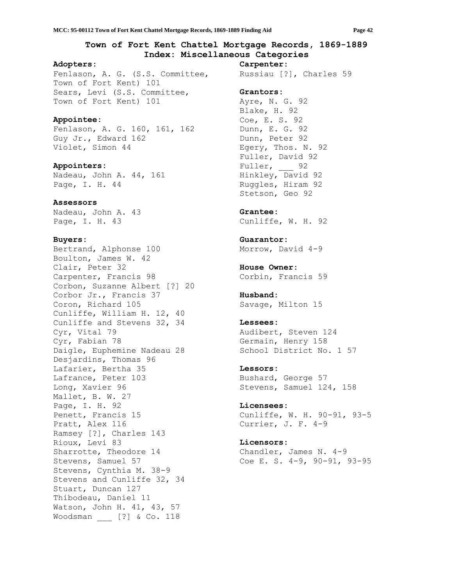## **Town of Fort Kent Chattel Mortgage Records, 1869-1889 Index: Miscellaneous Categories**

#### **Adopters:**

Fenlason, A. G. (S.S. Committee, Town of Fort Kent) 101 Sears, Levi (S.S. Committee, Town of Fort Kent) 101

### **Appointee:**

Fenlason, A. G. 160, 161, 162 Guy Jr., Edward 162 Violet, Simon 44

**Appointers:** Nadeau, John A. 44, 161 Page, I. H. 44

#### **Assessors**

Nadeau, John A. 43 Page, I. H. 43

#### **Buyers:**

Bertrand, Alphonse 100 Boulton, James W. 42 Clair, Peter 32 Carpenter, Francis 98 Corbon, Suzanne Albert [?] 20 Corbor Jr., Francis 37 Coron, Richard 105 Cunliffe, William H. 12, 40 Cunliffe and Stevens 32, 34 Cyr, Vital 79 Cyr, Fabian 78 Daigle, Euphemine Nadeau 28 Desjardins, Thomas 96 Lafarier, Bertha 35 Lafrance, Peter 103 Long, Xavier 96 Mallet, B. W. 27 Page, I. H. 92 Penett, Francis 15 Pratt, Alex 116 Ramsey [?], Charles 143 Rioux, Levi 83 Sharrotte, Theodore 14 Stevens, Samuel 57 Stevens, Cynthia M. 38-9 Stevens and Cunliffe 32, 34 Stuart, Duncan 127 Thibodeau, Daniel 11 Watson, John H. 41, 43, 57 Woodsman [?] & Co. 118

Russiau [?], Charles 59 **Grantors:** Ayre, N. G. 92 Blake, H. 92 Coe, E. S. 92 Dunn, E. G. 92 Dunn, Peter 92 Egery, Thos. N. 92 Fuller, David 92 Fuller, 92 Hinkley, David 92 Ruggles, Hiram 92 Stetson, Geo 92

#### **Grantee:**

**Carpenter:**

Cunliffe, W. H. 92

**Guarantor:** Morrow, David 4-9

**House Owner:** Corbin, Francis 59

**Husband:** Savage, Milton 15

#### **Lessees:**

Audibert, Steven 124 Germain, Henry 158 School District No. 1 57

#### **Lessors:**

Bushard, George 57 Stevens, Samuel 124, 158

#### **Licensees:**

Cunliffe, W. H. 90-91, 93-5 Currier, J. F. 4-9

## **Licensors:**

Chandler, James N. 4-9 Coe E. S. 4-9, 90-91, 93-95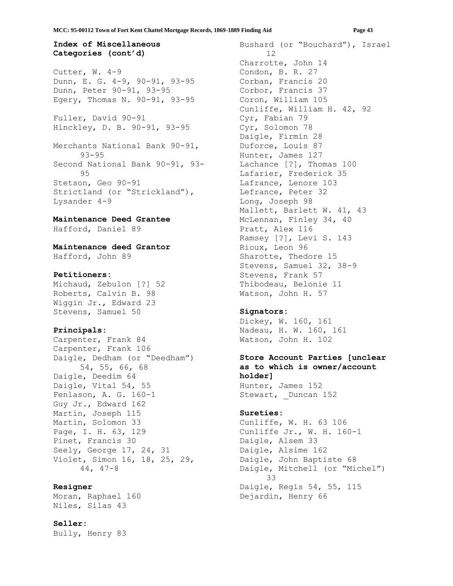## **Index of Miscellaneous Categories (cont'd)**

Cutter, W. 4-9 Dunn, E. G. 4-9, 90-91, 93-95 Dunn, Peter 90-91, 93-95 Egery, Thomas N. 90-91, 93-95

Fuller, David 90-91 Hinckley, D. B. 90-91, 93-95

Merchants National Bank 90-91, 93-95 Second National Bank 90-91, 93- 95 Stetson, Geo 90-91 Strictland (or "Strickland"), Lysander 4-9

## **Maintenance Deed Grantee**

Hafford, Daniel 89

## **Maintenance deed Grantor** Hafford, John 89

#### **Petitioners:**

Michaud, Zebulon [?] 52 Roberts, Calvin B. 98 Wiggin Jr., Edward 23 Stevens, Samuel 50

### **Principals:**

Carpenter, Frank 84 Carpenter, Frank 106 Daigle, Dedham (or "Deedham") 54, 55, 66, 68 Daigle, Deedim 64 Daigle, Vital 54, 55 Fenlason, A. G. 160-1 Guy Jr., Edward 162 Martin, Joseph 115 Martin, Solomon 33 Page, I. H. 63, 129 Pinet, Francis 30 Seely, George 17, 24, 31 Violet, Simon 16, 18, 25, 29, 44, 47-8

## **Resigner**

Moran, Raphael 160 Niles, Silas 43

### **Seller:**

Bully, Henry 83

Bushard (or "Bouchard"), Israel 12 Charrotte, John 14 Condon, B. R. 27 Corban, Francis 20 Corbor, Francis 37 Coron, William 105 Cunliffe, William H. 42, 92 Cyr, Fabian 79 Cyr, Solomon 78 Daigle, Firmin 28 Duforce, Louis 87 Hunter, James 127 Lachance [?], Thomas 100 Lafarier, Frederick 35 Lafrance, Lenore 103 Lefrance, Peter 32 Long, Joseph 98 Mallett, Barlett W. 41, 43 McLennan, Finley 34, 40 Pratt, Alex 116 Ramsey [?], Levi S. 143 Rioux, Leon 96 Sharotte, Thedore 15 Stevens, Samuel 32, 38-9 Stevens, Frank 57 Thibodeau, Belonie 11 Watson, John H. 57

#### **Signators:**

Dickey, W. 160, 161 Nadeau, H. W. 160, 161 Watson, John H. 102

## **Store Account Parties [unclear as to which is owner/account holder]** Hunter, James 152 Stewart, Duncan 152

#### **Sureties:**

Cunliffe, W. H. 63 106 Cunliffe Jr., W. H. 160-1 Daigle, Alsem 33 Daigle, Alsime 162 Daigle, John Baptiste 68 Daigle, Mitchell (or "Michel") 33 Daigle, Regis 54, 55, 115 Dejardin, Henry 66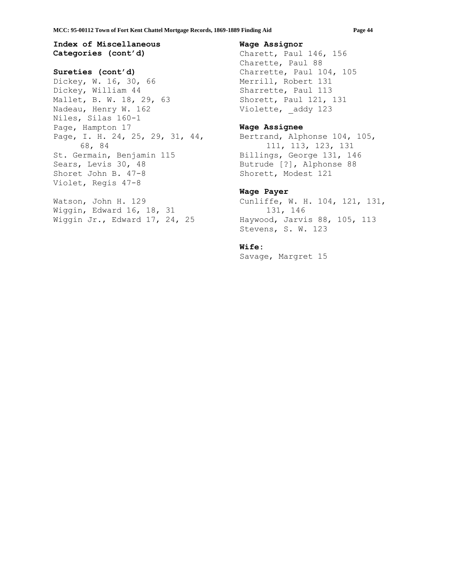## **Index of Miscellaneous Categories (cont'd)**

#### **Sureties (cont'd)**

Dickey, W. 16, 30, 66 Dickey, William 44 Mallet, B. W. 18, 29, 63 Nadeau, Henry W. 162 Niles, Silas 160-1 Page, Hampton 17 Page, I. H. 24, 25, 29, 31, 44, 68, 84 St. Germain, Benjamin 115 Sears, Levis 30, 48 Shoret John B. 47-8 Violet, Regis 47-8

Watson, John H. 129 Wiggin, Edward 16, 18, 31 Wiggin Jr., Edward 17, 24, 25

### **Wage Assignor**

Charett, Paul 146, 156 Charette, Paul 88 Charrette, Paul 104, 105 Merrill, Robert 131 Sharrette, Paul 113 Shorett, Paul 121, 131 Violette, \_addy 123

### **Wage Assignee**

Bertrand, Alphonse 104, 105, 111, 113, 123, 131 Billings, George 131, 146 Butrude [?], Alphonse 88 Shorett, Modest 121

## **Wage Payer**

Cunliffe, W. H. 104, 121, 131, 131, 146 Haywood, Jarvis 88, 105, 113 Stevens, S. W. 123

#### **Wife:**

Savage, Margret 15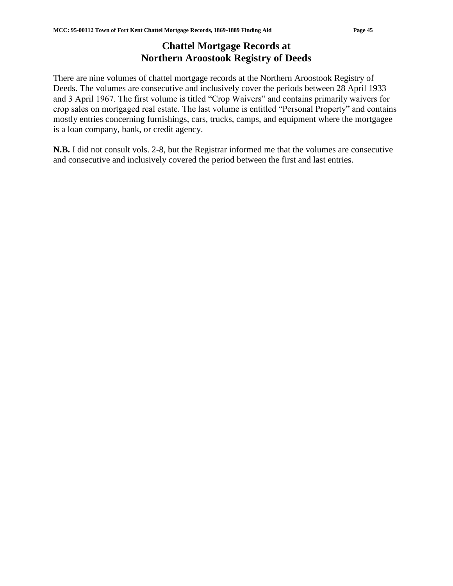# **Chattel Mortgage Records at Northern Aroostook Registry of Deeds**

There are nine volumes of chattel mortgage records at the Northern Aroostook Registry of Deeds. The volumes are consecutive and inclusively cover the periods between 28 April 1933 and 3 April 1967. The first volume is titled "Crop Waivers" and contains primarily waivers for crop sales on mortgaged real estate. The last volume is entitled "Personal Property" and contains mostly entries concerning furnishings, cars, trucks, camps, and equipment where the mortgagee is a loan company, bank, or credit agency.

**N.B.** I did not consult vols. 2-8, but the Registrar informed me that the volumes are consecutive and consecutive and inclusively covered the period between the first and last entries.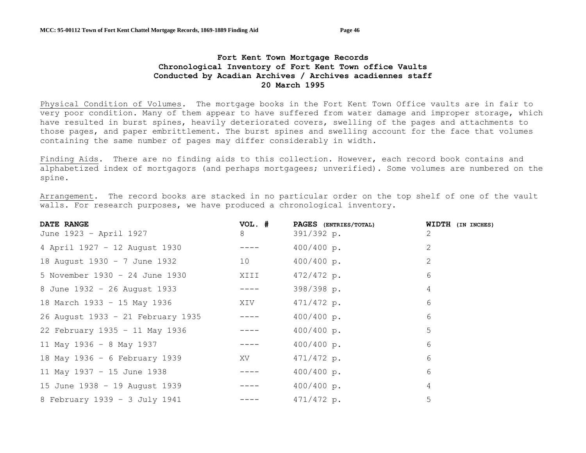## **Fort Kent Town Mortgage Records Chronological Inventory of Fort Kent Town office Vaults Conducted by Acadian Archives / Archives acadiennes staff 20 March 1995**

Physical Condition of Volumes. The mortgage books in the Fort Kent Town Office vaults are in fair to very poor condition. Many of them appear to have suffered from water damage and improper storage, which have resulted in burst spines, heavily deteriorated covers, swelling of the pages and attachments to those pages, and paper embrittlement. The burst spines and swelling account for the face that volumes containing the same number of pages may differ considerably in width.

Finding Aids. There are no finding aids to this collection. However, each record book contains and alphabetized index of mortgagors (and perhaps mortgagees; unverified). Some volumes are numbered on the spine.

Arrangement. The record books are stacked in no particular order on the top shelf of one of the vault walls. For research purposes, we have produced a chronological inventory.

| DATE RANGE                        | VOL. # | PAGES (ENTRIES/TOTAL) | WIDTH (IN INCHES) |
|-----------------------------------|--------|-----------------------|-------------------|
| June 1923 - April 1927            | 8      | 391/392 p.            | 2                 |
| 4 April 1927 - 12 August 1930     |        | 400/400 p.            | 2                 |
| 18 August 1930 - 7 June 1932      | 10     | 400/400 p.            | $\overline{2}$    |
| 5 November 1930 - 24 June 1930    | XIII   | 472/472 p.            | 6                 |
| 8 June 1932 - 26 August 1933      |        | 398/398 p.            | 4                 |
| 18 March 1933 - 15 May 1936       | XIV    | 471/472 p.            | 6                 |
| 26 August 1933 - 21 February 1935 |        | 400/400 p.            | 6                 |
| 22 February 1935 - 11 May 1936    |        | 400/400 p.            | 5                 |
| 11 May 1936 - 8 May 1937          |        | 400/400 p.            | 6                 |
| 18 May 1936 - 6 February 1939     | XV     | 471/472 p.            | 6                 |
| 11 May 1937 - 15 June 1938        |        | 400/400 p.            | 6                 |
| 15 June 1938 - 19 August 1939     |        | 400/400 p.            | 4                 |
| 8 February 1939 - 3 July 1941     |        | 471/472 p.            | 5                 |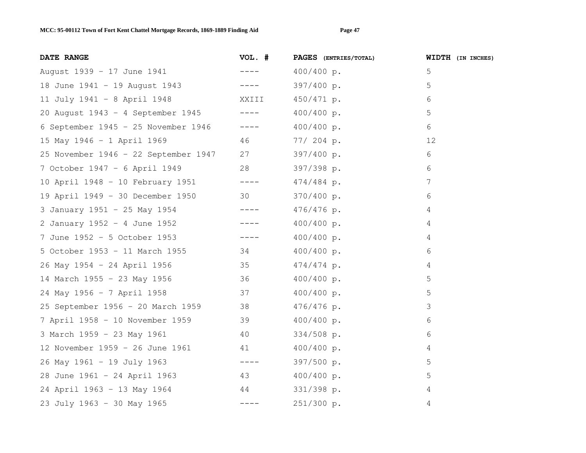| DATE RANGE                                | VOL. #      | PAGES (ENTRIES/TOTAL) | <b>WIDTH</b> (IN INCHES) |
|-------------------------------------------|-------------|-----------------------|--------------------------|
| August 1939 - 17 June 1941                | _____       | 400/400 p.            | 5                        |
| 18 June 1941 - 19 August 1943 ----        |             | 397/400 p.            | 5                        |
| XXIII<br>11 July 1941 - 8 April 1948      |             | 450/471 p.            | 6                        |
| 20 August 1943 - 4 September 1945 ----    |             | 400/400 p.            | 5                        |
| 6 September 1945 - 25 November 1946 ----  |             | 400/400 p.            | 6                        |
| 15 May 1946 - 1 April 1969                |             | 46 77/204 p.          | 12                       |
| 25 November 1946 - 22 September 1947 27   |             | 397/400 p.            | 6                        |
| 7 October 1947 - 6 April 1949 28          |             | 397/398 p.            | 6                        |
| 10 April 1948 - 10 February 1951 ----     |             | $474/484$ p.          | 7                        |
| 19 April 1949 - 30 December 1950 30       |             | 370/400 p.            | 6                        |
| 3 January 1951 - 25 May 1954 ----         |             | 476/476 p.            | 4                        |
| 2 January 1952 - 4 June 1952 ----         |             | 400/400 p.            | 4                        |
| 7 June 1952 - 5 October 1953 ----         |             | 400/400 p.            | $\overline{4}$           |
| 5 October 1953 - 11 March 1955 34         |             | 400/400 p.            | 6                        |
| 26 May 1954 - 24 April 1956 35 474/474 p. |             |                       | 4                        |
| 14 March 1955 - 23 May 1956 36            |             | 400/400 p.            | 5                        |
| 37<br>24 May 1956 - 7 April 1958          |             | 400/400 p.            | 5                        |
| 25 September 1956 - 20 March 1959 38      |             | $476/476$ p.          | 3                        |
| 7 April 1958 - 10 November 1959 39        |             | 400/400 p.            | 6                        |
| 3 March 1959 - 23 May 1961<br>40          |             | $334/508$ p.          | 6                        |
| 12 November 1959 - 26 June 1961 41        |             | 400/400 p.            | $\overline{4}$           |
| 26 May 1961 - 19 July 1963 ----           |             | 397/500 p.            | 5                        |
| 28 June 1961 - 24 April 1963 43           |             | 400/400 p.            | 5                        |
| 24 April 1963 - 13 May 1964 44            |             | $331/398$ p.          | $\overline{4}$           |
| 23 July 1963 - 30 May 1965                | $- - - - -$ | 251/300 p.            | 4                        |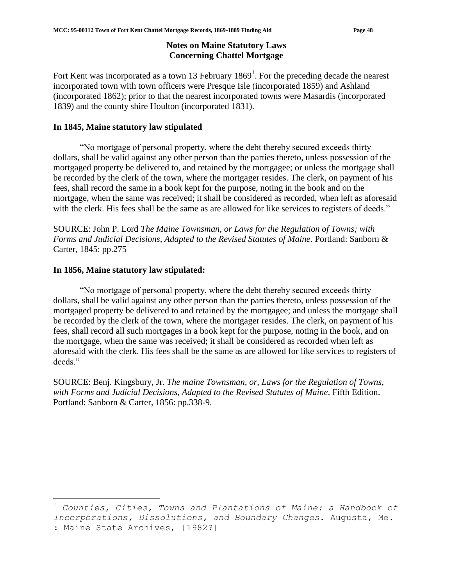# **Notes on Maine Statutory Laws Concerning Chattel Mortgage**

Fort Kent was incorporated as a town 13 February  $1869<sup>1</sup>$ . For the preceding decade the nearest incorporated town with town officers were Presque Isle (incorporated 1859) and Ashland (incorporated 1862); prior to that the nearest incorporated towns were Masardis (incorporated 1839) and the county shire Houlton (incorporated 1831).

# **In 1845, Maine statutory law stipulated**

"No mortgage of personal property, where the debt thereby secured exceeds thirty dollars, shall be valid against any other person than the parties thereto, unless possession of the mortgaged property be delivered to, and retained by the mortgagee; or unless the mortgage shall be recorded by the clerk of the town, where the mortgager resides. The clerk, on payment of his fees, shall record the same in a book kept for the purpose, noting in the book and on the mortgage, when the same was received; it shall be considered as recorded, when left as aforesaid with the clerk. His fees shall be the same as are allowed for like services to registers of deeds."

SOURCE: John P. Lord *The Maine Townsman, or Laws for the Regulation of Towns; with Forms and Judicial Decisions, Adapted to the Revised Statutes of Maine*. Portland: Sanborn & Carter, 1845: pp.275

## **In 1856, Maine statutory law stipulated:**

 $\overline{a}$ 

"No mortgage of personal property, where the debt thereby secured exceeds thirty dollars, shall be valid against any other person than the parties thereto, unless possession of the mortgaged property be delivered to and retained by the mortgagee; and unless the mortgage shall be recorded by the clerk of the town, where the mortgager resides. The clerk, on payment of his fees, shall record all such mortgages in a book kept for the purpose, noting in the book, and on the mortgage, when the same was received; it shall be considered as recorded when left as aforesaid with the clerk. His fees shall be the same as are allowed for like services to registers of deeds."

SOURCE: Benj. Kingsbury, Jr. *The maine Townsman, or, Laws for the Regulation of Towns, with Forms and Judicial Decisions, Adapted to the Revised Statutes of Maine*. Fifth Edition. Portland: Sanborn & Carter, 1856: pp.338-9.

<sup>1</sup> *Counties, Cities, Towns and Plantations of Maine: a Handbook of Incorporations, Dissolutions, and Boundary Changes.* Augusta, Me. : Maine State Archives, [1982?]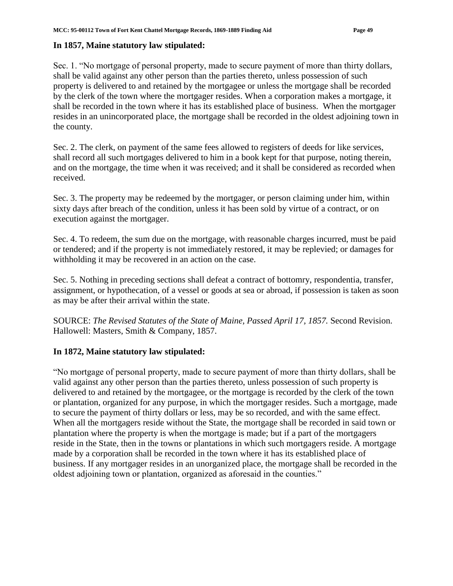# **In 1857, Maine statutory law stipulated:**

Sec. 1. "No mortgage of personal property, made to secure payment of more than thirty dollars, shall be valid against any other person than the parties thereto, unless possession of such property is delivered to and retained by the mortgagee or unless the mortgage shall be recorded by the clerk of the town where the mortgager resides. When a corporation makes a mortgage, it shall be recorded in the town where it has its established place of business. When the mortgager resides in an unincorporated place, the mortgage shall be recorded in the oldest adjoining town in the county.

Sec. 2. The clerk, on payment of the same fees allowed to registers of deeds for like services, shall record all such mortgages delivered to him in a book kept for that purpose, noting therein, and on the mortgage, the time when it was received; and it shall be considered as recorded when received.

Sec. 3. The property may be redeemed by the mortgager, or person claiming under him, within sixty days after breach of the condition, unless it has been sold by virtue of a contract, or on execution against the mortgager.

Sec. 4. To redeem, the sum due on the mortgage, with reasonable charges incurred, must be paid or tendered; and if the property is not immediately restored, it may be replevied; or damages for withholding it may be recovered in an action on the case.

Sec. 5. Nothing in preceding sections shall defeat a contract of bottomry, respondentia, transfer, assignment, or hypothecation, of a vessel or goods at sea or abroad, if possession is taken as soon as may be after their arrival within the state.

SOURCE: *The Revised Statutes of the State of Maine, Passed April 17, 1857.* Second Revision. Hallowell: Masters, Smith & Company, 1857.

# **In 1872, Maine statutory law stipulated:**

"No mortgage of personal property, made to secure payment of more than thirty dollars, shall be valid against any other person than the parties thereto, unless possession of such property is delivered to and retained by the mortgagee, or the mortgage is recorded by the clerk of the town or plantation, organized for any purpose, in which the mortgager resides. Such a mortgage, made to secure the payment of thirty dollars or less, may be so recorded, and with the same effect. When all the mortgagers reside without the State, the mortgage shall be recorded in said town or plantation where the property is when the mortgage is made; but if a part of the mortgagers reside in the State, then in the towns or plantations in which such mortgagers reside. A mortgage made by a corporation shall be recorded in the town where it has its established place of business. If any mortgager resides in an unorganized place, the mortgage shall be recorded in the oldest adjoining town or plantation, organized as aforesaid in the counties."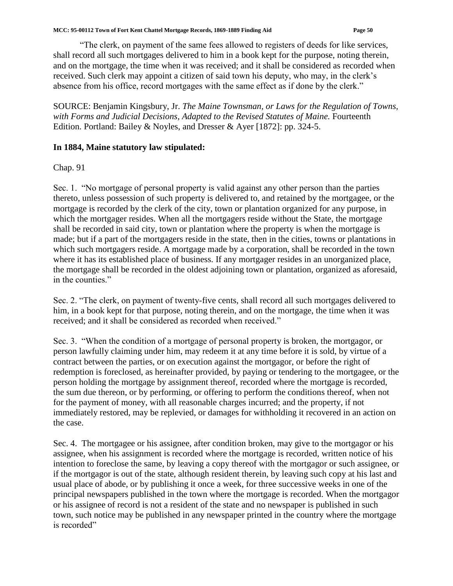"The clerk, on payment of the same fees allowed to registers of deeds for like services, shall record all such mortgages delivered to him in a book kept for the purpose, noting therein, and on the mortgage, the time when it was received; and it shall be considered as recorded when received. Such clerk may appoint a citizen of said town his deputy, who may, in the clerk's absence from his office, record mortgages with the same effect as if done by the clerk."

SOURCE: Benjamin Kingsbury, Jr. *The Maine Townsman, or Laws for the Regulation of Towns, with Forms and Judicial Decisions, Adapted to the Revised Statutes of Maine.* Fourteenth Edition. Portland: Bailey & Noyles, and Dresser & Ayer [1872]: pp. 324-5.

# **In 1884, Maine statutory law stipulated:**

Chap. 91

Sec. 1. "No mortgage of personal property is valid against any other person than the parties thereto, unless possession of such property is delivered to, and retained by the mortgagee, or the mortgage is recorded by the clerk of the city, town or plantation organized for any purpose, in which the mortgager resides. When all the mortgagers reside without the State, the mortgage shall be recorded in said city, town or plantation where the property is when the mortgage is made; but if a part of the mortgagers reside in the state, then in the cities, towns or plantations in which such mortgagers reside. A mortgage made by a corporation, shall be recorded in the town where it has its established place of business. If any mortgager resides in an unorganized place, the mortgage shall be recorded in the oldest adjoining town or plantation, organized as aforesaid, in the counties."

Sec. 2. "The clerk, on payment of twenty-five cents, shall record all such mortgages delivered to him, in a book kept for that purpose, noting therein, and on the mortgage, the time when it was received; and it shall be considered as recorded when received."

Sec. 3. "When the condition of a mortgage of personal property is broken, the mortgagor, or person lawfully claiming under him, may redeem it at any time before it is sold, by virtue of a contract between the parties, or on execution against the mortgagor, or before the right of redemption is foreclosed, as hereinafter provided, by paying or tendering to the mortgagee, or the person holding the mortgage by assignment thereof, recorded where the mortgage is recorded, the sum due thereon, or by performing, or offering to perform the conditions thereof, when not for the payment of money, with all reasonable charges incurred; and the property, if not immediately restored, may be replevied, or damages for withholding it recovered in an action on the case.

Sec. 4. The mortgagee or his assignee, after condition broken, may give to the mortgagor or his assignee, when his assignment is recorded where the mortgage is recorded, written notice of his intention to foreclose the same, by leaving a copy thereof with the mortgagor or such assignee, or if the mortgagor is out of the state, although resident therein, by leaving such copy at his last and usual place of abode, or by publishing it once a week, for three successive weeks in one of the principal newspapers published in the town where the mortgage is recorded. When the mortgagor or his assignee of record is not a resident of the state and no newspaper is published in such town, such notice may be published in any newspaper printed in the country where the mortgage is recorded"